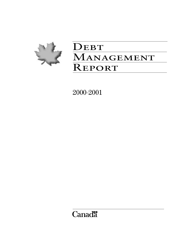

# DEBT MANAGEMENT **REPORT**

2000–2001

**Canadä**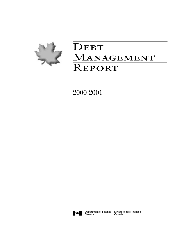

# DEBT MANAGEMENT **REPORT**

2000–2001

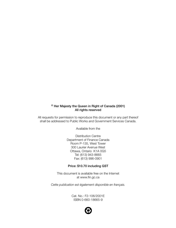### **© Her Majesty the Queen in Right of Canada (2001) All rights reserved**

All requests for permission to reproduce this document or any part thereof shall be addressed to Public Works and Government Services Canada.

Available from the

Distribution Centre Department of Finance Canada Room P-135, West Tower 300 Laurier Avenue West Ottawa, Ontario K1A 0G5 Tel: (613) 943-8665 Fax: (613) 996-0901

#### **Price: \$10.70 including GST**

This document is available free on the Internet at www.fin.gc.ca

*Cette publication est également disponible en français.*

Cat. No.: F2-106/2001E ISBN 0-660-18665-9

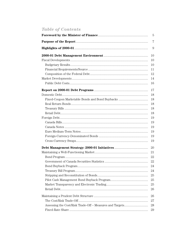# **Table of Contents**

| $\overline{5}$ |
|----------------|
| 7              |
| 9              |
| 10             |
| 10             |
| 10             |
| 11             |
| 12             |
| 14             |
| 16             |
| 17             |
| 18             |
| 18             |
| 18             |
| 18             |
| 18             |
| 19             |
| 19             |
| 19             |
| 19             |
| 19             |
| 19             |
| 20             |
| 21             |
| 22             |
| 22             |
| 24             |
| 24             |
| 25             |
| 25             |
| 25             |
| 26             |
| 26             |
| 27             |
| 28             |
| 29             |
|                |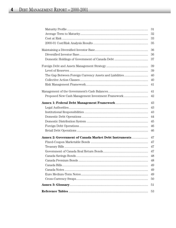|                                                               | 31 |
|---------------------------------------------------------------|----|
|                                                               | 32 |
|                                                               | 33 |
|                                                               | 35 |
|                                                               | 36 |
|                                                               | 36 |
|                                                               | 37 |
|                                                               | 39 |
|                                                               | 39 |
|                                                               | 40 |
|                                                               | 40 |
|                                                               | 41 |
|                                                               | 41 |
| Proposed New Cash Management Investment Framework             | 42 |
|                                                               | 43 |
|                                                               | 43 |
|                                                               | 43 |
|                                                               | 44 |
|                                                               | 45 |
|                                                               | 46 |
|                                                               | 46 |
| <b>Annex 2: Government of Canada Market Debt Instruments </b> | 47 |
|                                                               | 47 |
|                                                               | 47 |
|                                                               | 47 |
|                                                               | 48 |
|                                                               | 48 |
|                                                               | 49 |
|                                                               | 49 |
|                                                               | 49 |
|                                                               | 50 |
|                                                               | 51 |
|                                                               | 53 |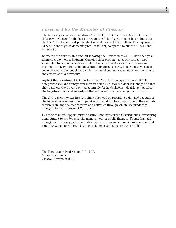#### *Foreword by the Minister of Finance*

The federal government paid down \$17.1 billion of its debt in 2000-01, its largest debt paydown ever. In the last four years the federal government has reduced its debt by \$35.8 billion. Net public debt now stands at \$547.4 billion. This represents 51.8 per cent of gross domestic product (GDP), compared to almost 71 per cent in 1995-96.

Reducing the debt by this amount is saving the Government \$2.5 billion each year in interest payments. Reducing Canada's debt burden makes our country less vulnerable to economic shocks, such as higher interest rates or slowdowns in economic activity. This added measure of financial security is particularly crucial today given the current slowdown in the global economy. Canada is not immune to the effects of this slowdown.

Against this backdrop, it is important that Canadians be equipped with timely, comprehensive and transparent information about how the debt is managed so that they can hold the Government accountable for its decisions – decisions that affect the long-term financial security of the nation and the well-being of individuals.

The *Debt Management Report* fulfills this need by providing a detailed account of the federal government's debt operations, including the composition of the debt, its distribution, and the mechanisms and activities through which it is prudently managed in the interests of Canadians.

I want to take this opportunity to assure Canadians of the Government's unwavering commitment to prudence in the management of public finances. Sound financial management is a key part of our strategy to sustain an economic environment that can offer Canadians more jobs, higher incomes and a better quality of life.

The Honourable Paul Martin, P.C., M.P. Minister of Finance Ottawa, November 2001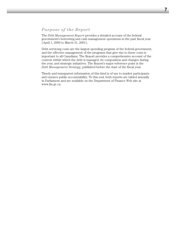### *Purpose of the Report*

The *Debt Management Report* provides a detailed account of the federal government's borrowing and cash management operations in the past fiscal year (April 1, 2000 to March 31, 2001).

Debt-servicing costs are the largest spending program of the federal government, and the effective management of the programs that give rise to these costs is important to all Canadians. The Report provides a comprehensive account of the context within which the debt is managed, its composition and changes during the year, and strategic initiatives. The Report's major reference point is the *Debt Management Strategy*, published before the start of the fiscal year.

Timely and transparent information of this kind is of use to market participants and ensures public accountability. To this end, both reports are tabled annually in Parliament and are available on the Department of Finance Web site at www.fin.gc.ca.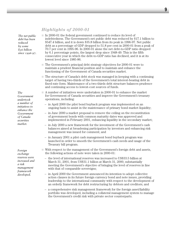# *Highlights of 2000-01*

*The net public debt has been reduced by some \$36 billion since 1996-97.*

*The Government undertook a number of initiatives to enhance the Government of Canada*

*securities market.*

*Foreign exchange reserves were increased and a risk management framework developed.* 

- $\Box$  In 2000-01 the federal government continued to reduce its level of indebtedness. The Government's net public debt was reduced by \$17.1 billion to \$547.4 billion, and it is down \$35.8 billion from its peak in 1996-97. Net public debt as a percentage of GDP dropped to 51.8 per cent in 2000-01 from a peak of 70.7 per cent in 1995-96. In 2000-01 alone the net debt-to-GDP ratio dropped by 6.1 percentage points, the largest drop since 1948-49. This is the fifth consecutive year in which the debt-to-GDP ratio has declined, and it is at its lowest level since 1985-86.
- The Government's principal debt strategy objectives for 2000-01 were to maintain a prudent financial position and to maintain and enhance the functioning of the Government of Canada securities market.
- The structure of Canada's debt stock was managed in keeping with a continuing target of having two-thirds of the Government's total interest-bearing debt in fixed-rate form. Maintenance of a two-thirds debt structure balances prudence and continuing access to lowest-cost sources of funds.
- A number of initiatives were undertaken in 2000-01 to enhance the market for Government of Canada securities and improve the Government's treasury operations, including:
	- in April 2000 the pilot bond buyback program was implemented on an ongoing basis to assist in the maintenance of primary bond market liquidity;
- in June 2000 a market proposal to remove the ceiling on the reconstitution of government bonds with common maturity dates was approved and implemented in February 2001, enhancing liquidity in the secondary market;
- in July 2000 a new framework for the investment of the Government's cash balances aimed at broadening participation by investors and enhancing risk management was issued for comment; and
- in January 2001 a pilot cash management bond buyback program was launched in order to smooth the Government's cash needs and usage of the Treasury bill program.
- With respect to the management of the Government's foreign debt and assets, the following actions of note were taken in 2000-01:
	- the level of international reserves was increased to US\$33.5 billion at March 31, 2001, from US\$31.1 billion at March 31, 2000, substantially meeting the Government's objective of bringing the level of reserves in line with that of comparable sovereigns;
	- in April 2000 the Government announced its intention to adopt collective action clauses in its future foreign currency bond and note issues, providing leadership to the international community with respect to the development of an orderly framework for debt restructuring by debtors and creditors; and
	- a comprehensive risk management framework for the foreign asset/liability portfolio was developed, including a collateral management system to manage the Government's credit risk with private sector counterparts.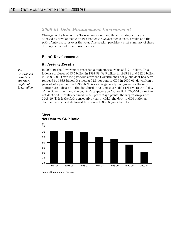#### *2000-01 Debt Management Environment*

Changes in the level of the Government's debt and its annual debt costs are affected by developments on two fronts: the Government's fiscal results and the path of interest rates over the year. This section provides a brief summary of these developments and their consequences.

#### **Fiscal Developments**

#### *Budgetary Results*

In 2000-01 the Government recorded a budgetary surplus of \$17.1 billion. This follows surpluses of \$3.5 billion in 1997-98, \$2.9 billion in 1998-99 and \$12.3 billion in 1999-2000. Over the past four years the Government's net public debt has been reduced by \$35.8 billion. It stood at 51.8 per cent of GDP in 2000-01, down from a peak of 70.7 per cent in 1995-96. This ratio is generally recognized as the most appropriate indicator of the debt burden as it measures debt relative to the ability of the Government and the country's taxpayers to finance it. In 2000-01 alone the net debt-to-GDP ratio declined by 6.1 percentage points, the largest drop since 1948-49. This is the fifth consecutive year in which the debt-to-GDP ratio has declined, and it is at its lowest level since 1985-86 (see Chart 1).



Chart 1 **Net Debt-to-GDP Ratio**

*The Government recorded a budgetary surplus of \$17.1 billion.* 

Source: Department of Finance.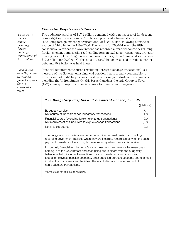#### *Financial Requirements/Source*

*There was a financial source, including foreign exchange transactions, of \$10.2 billion.* 

*Canada is the only G-7 nation to record a financial source for five consecutive years.* 

The budgetary surplus of \$17.1 billion, combined with a net source of funds from non-budgetary transactions of \$1.8 billion, produced a financial source (excluding foreign exchange transactions) of \$19.0 billion, following a financial source of \$14.6 billion in 1999-2000. The results for 2000-01 mark the fifth consecutive year that the Government has recorded a financial source (excluding foreign exchange transactions). Including foreign exchange transactions, primarily relating to supplementing foreign exchange reserves, the net financial source was \$10.2 billion for 2000-01. Of this amount, \$10.0 billion was used to reduce market debt and \$0.2 billion was held in cash.

Financial requirements/source (excluding foreign exchange transactions) is a measure of the Government's financial position that is broadly comparable to the measure of budgetary balance used by other major industrialized countries, including the United States. On this basis, Canada is the only Group of Seven (G-7) country to report a financial source for five consecutive years.

*The Budgetary Surplus and Financial Source, 2000-01*

|                                                             | (\$ billions)     |
|-------------------------------------------------------------|-------------------|
| Budgetary surplus                                           | 171               |
| Net source of funds from non-budgetary transactions         | 1.8               |
| Financial source (excluding foreign exchange transactions)  | 19.0 <sup>*</sup> |
| Net requirement of funds from foreign exchange transactions | (8.8)             |
| Net financial source                                        | 1 በ 2             |

The budgetary balance is presented on a modified accrual basis of accounting, recording government liabilities when they are incurred, regardless of when the cash payment is made, and recording tax revenues only when the cash is received.

In contrast, financial requirements/source measures the difference between cash coming in to the Government and cash going out. It differs from the budgetary balance in that it includes transactions in loans, investments and advances, federal employees' pension accounts, other specified purpose accounts and changes in other financial assets and liabilities. These activities are included as part of non-budgetary transactions.

\*Numbers do not add due to rounding.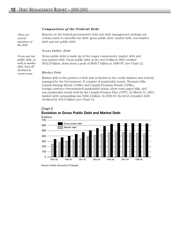#### *Composition of the Federal Debt*

*There are several measures of the debt.*

*Gross and net public debt, as well as market debt, have all declined in recent years.*

Reports on the federal government's debt and debt management strategy use certain terms to describe the debt: gross public debt, market debt, non-market debt and net public debt.

#### *Gross Public Debt*

Gross public debt is made up of two major components: market debt and non-market debt. Gross public debt at the end of March 2001 totalled \$632.9 billion, down from a peak of \$640.7 billion in 1996-97 (see Chart 2).

#### *Market Debt*

Market debt is the portion of debt that is funded in the credit markets and actively managed by the Government. It consists of marketable bonds, Treasury bills, Canada Savings Bonds (CSBs) and Canada Premium Bonds (CPBs), foreign-currency-denominated marketable bonds, short-term paper bills, and non-marketable bonds held by the Canada Pension Plan (CPP). At March 31, 2001, market debt outstanding was \$446.4 billion. In 2000-01 the level of market debt declined by \$10.0 billion (see Chart 2).



#### Chart 2 **Evolution or Gross Public Debt and Market Debt**

Source: *Public Accounts of Canada.*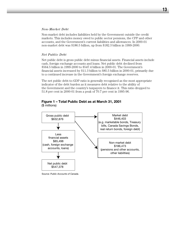#### *Non-Market Debt*

Non-market debt includes liabilities held by the Government outside the credit markets. This includes money owed to public sector pensions, the CPP and other accounts, and the Government's current liabilities and allowances. In 2000-01 non-market debt was \$186.5 billion, up from \$182.3 billion in 1999-2000.

#### *Net Public Debt*

Net public debt is gross public debt minus financial assets. Financial assets include cash, foreign exchange accounts and loans. Net public debt declined from \$564.5 billion in 1999-2000 to \$547.4 billion in 2000-01. The Government's financial assets increased by \$11.3 billion to \$85.5 billion in 2000-01, primarily due to a continued increase in the Government's foreign exchange reserves.

The net public debt-to-GDP ratio is generally recognized as the most appropriate indicator of the debt burden as it measures debt relative to the ability of the Government and the country's taxpayers to finance it. This ratio dropped to 51.8 per cent in 2000-01 from a peak of 70.7 per cent in 1995-96.

# **Figure 1 – Total Public Debt as at March 31, 2001**

(\$ millions)



Source: *Public Accounts of Canada.*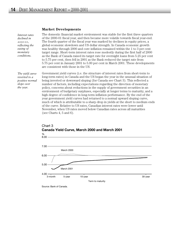#### **Market Developments**

*Interest rates declined in 2000-01, reflecting the easing of monetary conditions.* 

*The yield curve reverted to a positive normal slope over the year.*

The domestic financial market environment was stable for the first three quarters of the 2000-01 fiscal year, and then became more volatile towards fiscal year-end. The fourth quarter of the fiscal year was marked by declines in equity prices, a global economic slowdown and US dollar strength. In Canada economic growth was healthy through 2000 and core inflation remained within the 1 to 3 per cent target range. Short-term interest rates rose modestly during the first half of 2000 as the Bank of Canada raised its target rate for overnight loans from 5.25 per cent to 5.75 per cent, then fell in 2001 as the Bank reduced the target rate from 5.75 per cent in January 2001 to 5.00 per cent in March 2001. These developments are consistent with those in the US.

Government yield curves (i.e. the structure of interest rates from short-term to long-term rates) in Canada and the US began the year in the unusual situation of being inverted or downward sloping (for Canada see Chart 3). This reflected a number of factors, including expectations regarding the direction of monetary policy, concerns about reductions in the supply of government securities in an environment of budgetary surpluses, especially at longer terms to maturity, and a high degree of confidence in long-term inflation performance. By the end of the year government yield curves had returned to a normal upward sloping curve, much of which is attributable to a sharp drop in yields at the short to medium ends of the curve. Relative to US rates, Canadian interest rates were lower until November, when US rates moved below Canadian rates across all maturities (see Charts  $4, 5$  and  $6$ ).



# Chart 3 **Canada Yield Curve, March 2000 and March 2001**

Source: Bank of Canada.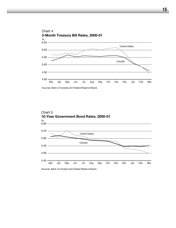

Sources: Bank of Canada and Federal Reserve Board.



Sources: Bank of Canada and Federal Reserve Board.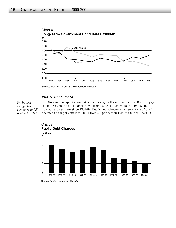

# Chart 6

Sources: Bank of Canada and Federal Reserve Board.

#### *Public Debt Costs*

*Public debt charges have continued to fall relative to GDP.*  The Government spent about 24 cents of every dollar of revenue in 2000-01 to pay the interest on the public debt, down from its peak of 36 cents in 1995-96, and now at its lowest rate since 1981-82. Public debt charges as a percentage of GDP declined to 4.0 per cent in 2000-01 from 4.3 per cent in 1999-2000 (see Chart 7).





Source: *Public Accounts of Canada*.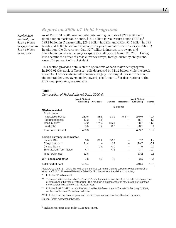**17**

# *Report on 2000-01 Debt Programs*

*Market debt declined from \$456.4 billion in 1999-2000 to \$446.4 billion in 2000-01.*

As of March 31, 2001, market debt outstanding comprised \$279.9 billion in fixed-coupon marketable bonds, \$15.1 billion in real return bonds  $(RRBs)$ ,<sup>1</sup> \$88.7 billion in Treasury bills, \$26.1 billion in CSBs and CPBs, \$3.5 billion in CPP bonds and \$33.2 billion in foreign-currency-denominated securities (see Table 1). In addition, the Government had \$2.7 billion in interest rate swaps and \$24.9 billion in cross-currency swaps outstanding as of March 31, 2001. Taking into account the effect of cross-currency swaps, foreign currency obligations were 12.3 per cent of market debt.

This section provides details on the operations of each major debt program. In 2000-01 the stock of Treasury bills decreased by \$11.2 billion while the stock amounts of other instruments remained largely unchanged. For information on the federal debt management framework, see Annex 1. For descriptions of the individual programs, see Annex 2.

#### **Table 1**

*Composition of Federal Market Debt, 2000-01* 

|                              | March 31, 2000<br>outstanding | New issues    | Maturing | Repurchase | March 31, 2001<br>outstanding | Change        |
|------------------------------|-------------------------------|---------------|----------|------------|-------------------------------|---------------|
|                              |                               | (\$ billions) |          |            |                               |               |
| C\$-denominated              |                               |               |          |            |                               |               |
| Fixed-coupon                 |                               |               |          |            |                               |               |
| marketable bonds             | 280.6                         | 38.5          | 33.9     | $5.3***$   | 279.9                         | $-0.7$        |
| Real return bonds*           | 13.3                          | 1.8           |          |            | 15.1                          | 1.8           |
| Treasury bills**             | 99.9                          | 174.3         | 185.5    |            | 88.7                          | $-11.2$       |
| Retail debt                  | 26.5                          | 3.2           | 3.7      |            | 26.1                          | $-0.4$        |
| Total domestic debt          | 420.3                         |               |          |            | 409.7                         | $-10.6$       |
| Foreign-currency-denominated |                               |               |          |            |                               |               |
| Canada Bills                 | 6.0                           | 31.2          | 30.2     |            | 7.2                           | $1.2^{\circ}$ |
| Foreign bonds***             | 21.4                          |               | 2.2      |            | 20.7                          | $-0.7$        |
| Canada Notes                 | 1.1                           | 0.6           | 0.0      |            | 1.6                           | 0.5           |
| Euro Medium-Term Notes       | 4.1                           |               | 0.6      |            | 3.7                           | $-0.4$        |
| Total foreign debt           | 32.6                          |               |          |            | 33.2                          | 0.6           |
| CPP bonds and notes          | 3.6                           | 1.3           | 1.3      |            | 3.5                           | $-0.1$        |
| Total market debt            | 456.4                         |               |          |            | 446.4                         | $-10.0$       |

Note: As at March 31, 2001, the total amount of interest-rate and cross-currency swaps outstanding stood at C\$27.6 billion (see Reference Table XI). Numbers may not add due to rounding.

Includes CPI adjustment.

- These securities are issued at 3-, 6- and 12-month maturities and therefore are rolled over a number of times during the year for refinancing. This results in a larger number of new issues per year than stock outstanding at the end of the fiscal year.
- \*\*\* Includes \$492.0 million in securities assumed by the Government of Canada on February 5, 2001, on the dissolution of Petro Canada Limited.

\*\*\*\* Includes bond buyback program and the pilot cash management bond buyback program.

Source: *Public Accounts of Canada.*

<sup>1</sup> Includes consumer price index (CPI) adjustment.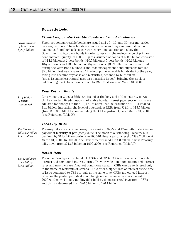#### **Domestic Debt**

#### *Fixed-Coupon Marketable Bonds and Bond Buybacks*

*Gross issuance of bonds was \$38.5 billion.*

Fixed-coupon marketable bonds are issued at 2-, 5-, 10- and 30-year maturities on a regular basis. These bonds are non-callable and pay semi-annual coupon payments. Bond buybacks occur with every bond auction and allow the Government to buy back bonds in order to assist in the maintenance of primary bond market liquidity. In 2000-01 gross issuance of bonds of \$38.5 billion consisted of \$14.1 billion in 2-year bonds, \$10.5 billion in 5-year bonds, \$10.1 billion in 10-year bonds and \$3.8 billion in 30-year bonds. \$33.9 billion of bonds matured during the year. Bond buybacks and cash management bond buybacks totalled \$5.3 billion. Net new issuance of fixed-coupon marketable bonds during the year, taking into account buybacks and maturities, declined by \$0.7 billion (gross issuance less repurchases less maturing issues), bringing the stock of outstanding marketable bonds down to \$279.9 billion as at March 31, 2001.

#### *Real Return Bonds*

*\$1.4 billion in RRBs were issued.* Government of Canada RRBs are issued at the long end of the maturity curve. Unlike standard fixed-coupon marketable bonds, interest payments on RRBs are adjusted for changes in the CPI, i.e. inflation. 2000-01 issuance of RRBs totalled \$1.4 billion, increasing the level of outstanding RRBs from \$12.1 to \$13.5 billion (from \$13.3 to \$15.1 billion including the CPI adjustment) as at March 31, 2001 (see Reference Table X).

#### *Treasury Bills*

*The Treasury bill stock fell by \$11.2 billion.*

Treasury bills are auctioned every two weeks in 3-, 6- and 12-month maturities and pay out at maturity at par (face) value. The stock of outstanding Treasury bills declined by \$11.2 billion during the 2000-01 fiscal year to a level of \$88.7 billion at March 31, 2001. In 2000-01 the Government issued \$174.3 billion in new Treasury bills, down from \$213.6 billion in 1999-2000 (see Reference Table VI).

#### *Retail Debt*

*The retail debt stock fell by \$400 million.* 

There are two types of retail debt: CSBs and CPBs. CSBs are available in regular interest and compound interest forms. They provide minimum guaranteed interest rates and may increase if market conditions warrant. CSBs can be registered only in the name of residents of Canada. CPBs offer a higher rate of interest at the time of issue compared to CSBs on sale at the same time. CPBs' announced interest rates for the posted periods do not change once the issue date has passed. In 2000-01 the level of outstanding debt held by domestic retail investors – CSBs and CPBs – decreased from \$26.5 billion to \$26.1 billion.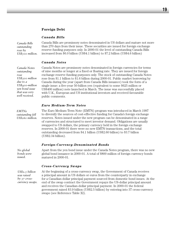#### **Foreign Debt**

#### *Canada Bills*

*Canada Bills outstanding rose by US\$500 million.* Canada Bills are promissory notes denominated in US dollars and mature not more than 270 days from their issue. These securities are issued for foreign exchange reserve funding purposes only. In 2000-01 the level of outstanding Canada Bills increased from \$6.0 billion (US\$4.1 billion) to \$7.2 billion (US\$4.6 billion)

#### *Canada Notes*

*Canada Notes outstanding rose US\$300 million due to a US\$400-million yen bond issue that was very well received.* 

Canada Notes are promissory notes denominated in foreign currencies for terms of nine months or longer at a fixed or floating rate. They are issued for foreign exchange reserve funding purposes only. The stock of outstanding Canada Notes rose from \$1.1 billion to \$1.6 billion during 2000-01. Public market borrowing by Canada during the year (apart from Canada Bills issuance) took the form of a single issue: a five-year 50-billion yen (equivalent to some \$625 million or US\$400 million) note launched in March. The issue was successfully placed with U.K., European and US institutional investors and received favourable public comments.

#### *Euro Medium-Term Notes*

*EMTNs outstanding fell US\$260 million.* 

*No global*

*issued.*

The Euro Medium-Term Note (EMTN) program was introduced in March 1997 to diversify the sources of cost-effective funding for Canada's foreign exchange reserves. Notes issued under the new program can be denominated in a range of currencies and structured to meet investor demand. Obligations are usually swapped to US dollars, the primary currency held in the foreign exchange reserves. In 2000-01 there were no new EMTN transactions, and the total outstanding decreased from \$4.1 billion (US\$2.60 billion) to \$3.7 billion (US\$2.34 billion).

#### *Foreign-Currency-Denominated Bonds*

Apart from the yen bond issue under the Canada Notes program, there was no new global bond issuance in 2000-01. A total of \$800 million of foreign currency bonds matured in 2000-01. *bonds were*

#### *Cross-Currency Swaps*

At the beginning of a cross-currency swap, the Government of Canada receives a principal amount in US dollars or euros from the counterparty in exchange for a Canadian-dollar principal payment sourced from domestic bond issues. At the end of the swap contract the Government repays the US-dollar principal amount and receives the Canadian-dollar principal payment. In 2000-01 the federal government raised \$3.9 billion (US\$2.5 billion) by entering into 37 cross-currency swaps (see Reference Table XI). *US\$2.5 billion was raised by 37 crosscurrency swaps.*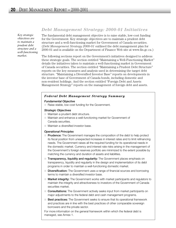*Key strategic objectives are to maintain a prudent debt structure and a well-functioning market.*

#### *Debt Management Strategy: 2000-01 Initiatives*

The fundamental debt management objective is to raise stable, low-cost funding for the Government. Key strategic objectives are to maintain a prudent debt structure and a well-functioning market for Government of Canada securities. (*Debt Management Strategy 2000-01* outlined the debt management plan for 2000-01 and is available on the Department of Finance Web site at www.fin.gc.ca.)

The following sections report on the Government's initiatives designed to address these strategic goals. The section entitled "Maintaining a Well-Functioning Market" details the initiatives taken to maintain a well-functioning market in Government of Canada securities. The section entitled "Maintaining a Prudent Debt Structure" reports on the key measures and analysis used in determining the target debt structure. "Maintaining a Diversified Investor Base" reports on developments in the investor base of Government of Canada bonds, including domestic and non-resident holdings. And the section entitled "Foreign Debt and Assets Management Strategy" reports on the management of foreign debt and assets.

#### *Federal Debt Management Strategy Summary*

#### *Fundamental Objective*

■ Raise stable, low-cost funding for the Government.

#### *Strategic Objectives*

- Maintain a prudent debt structure.
- Maintain and enhance a well-functioning market for Government of Canada securities.
- Maintain a diversified investor base.

#### *Operational Principles*

- **Prudence:** The Government manages the composition of the debt to help protect its fiscal position from unexpected increases in interest rates and to limit refinancing needs. The Government raises all the required funding for its operational needs in the domestic market. Currency and interest rate risks arising in the management of the Government's foreign reserves portfolio are minimized to the extent possible by matching the currency and duration of assets and liabilities.
- **Transparency, liquidity and regularity:** The Government places emphasis on transparency, liquidity and regularity in the design and implementation of its debt programs in order to maintain a well-functioning domestic market.
- **Diversification:** The Government uses a range of financial sources and borrowing terms to maintain a diversified investor base.
- **Market integrity:** The Government works with market participants and regulators to maintain the integrity and attractiveness to investors of the Government of Canada securities market.
- **Consultations:** The Government actively seeks input from market participants on major adjustments to the federal debt and cash management programs.
- **Best practices:** The Government seeks to ensure that its operational framework and practices are in line with the best practices of other comparable sovereign borrowers and the private sector.

For more information on the general framework within which the federal debt is managed, see Annex 1.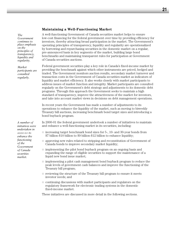#### **Maintaining a Well-Functioning Market**

A well-functioning Government of Canada securities market helps to ensure low-cost financing for the federal government over time by providing efficiency for investors, thereby attracting broad participation in the market. The Government's operating principles of transparency, liquidity and regularity are operationalized by borrowing and repurchasing securities in the domestic market on a regular, pre-announced basis in key segments of the market, building large bond benchmarks and maintaining transparent rules for participation at Government of Canada securities auctions.

Federal government securities play a key role in Canada's fixed-income market by providing the benchmark against which other instruments are priced, hedged and traded. The Government monitors auction results, secondary market turnover and transaction costs in the Government of Canada securities market as indicators of liquidity and market efficiency. It also works closely with market participants to address issues of market function and integrity. Market participants are consulted regularly on the Government's debt strategy and adjustments to its domestic debt programs. Through this approach the Government seeks to maintain a high standard of transparency, improve the attractiveness of the market for investors, and take into account market views in decisions on debt management operations.

In recent years the Government has made a number of adjustments to its operations to enhance the liquidity of the market, such as moving to biweekly Treasury bill auctions, increasing benchmark bond target sizes and introducing a bond buyback program.

In 2000-01 the federal government undertook a number of initiatives to maintain and enhance a well-functioning market in its securities, including:

- increasing target benchmark bond sizes for 5-, 10- and 30-year bonds from \$7 billion-\$10 billion to \$9 billion-\$12 billion to enhance liquidity;
- approving new rules related to stripping and reconstitution of Government of Canada bonds to improve secondary market liquidity;
- implementing the pilot bond buyback program on an ongoing basis and expanding the range of eligible securities to support the maintenance of a liquid new bond issue market;
- implementing a pilot cash management bond buyback program to reduce the peak levels of government cash balances and improve the functioning of the Treasury bill program;
- $\Box$  reviewing the structure of the Treasury bill program to ensure it meets investor needs; and
- continuing discussions with market participants and regulators on the regulatory framework for electronic trading systems in the domestic fixed-income market.

These initiatives are discussed in more detail in the following sections.

*A number of initiatives were undertaken in 2000-01 to enhance the functioning of the Government of Canada securities market.* 

*The*

*on the principles of transparency, liquidity and regularity.* 

*Market*

*participants are consulted regularly.*

*Government continues to place emphasis*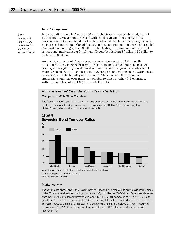#### *Bond Program*

*Bond benchmark targets were increased for 5-, 10- and 30-year bonds.* In consultations held before the 2000-01 debt strategy was established, market participants were generally pleased with the design and functioning of the Government of Canada bond market, but indicated that benchmark targets could be increased to maintain Canada's position in an environment of ever-higher global standards. Accordingly, in its 2000-01 debt strategy the Government increased target benchmark sizes for 5-, 10- and 30-year bonds from \$7 billion-\$10 billion to \$9 billion-12 billion.

Annual Government of Canada bond turnover decreased to 11.5 times the outstanding stock in 2000-01 from 11.7 times in 1999-2000. While the level of trading activity globally has diminished over the past two years, Canada's bond market remains one of the most active sovereign bond markets in the world based on indicators of the liquidity of the market. These include the volume of transactions and turnover ratios comparable to those of other G-7 countries, with the exception of the US (see Charts 8 to 12).

#### *Government of Canada Securities Statistics*

#### **Comparison With Other Countries**

The Government of Canada bond market compares favourably with other major sovereign bond markets. The market had an annual stock turnover level in 2000 of 11.0, behind only the United States, which had a stock turnover level of 19.4.



#### Chart 8 **Sovereign Bond Turnover Ratios**

\* Data for Japan unavailable for 2000. Note: Turnover ratio is total trading volume in each quarter/stock.

Source: Bank of Canada.

#### **Market Activity**

The volume of transactions in the Government of Canada bond market has grown significantly since 1990. Total marketable bond trading volume was \$3,424 billion in 2000-01, a 1.8-per-cent decrease from 1999-2000. The annual turnover ratio was 11.5 in 2000-01 compared to 11.7 in 1999-2000 (see Chart 9). The volume of transactions in the Treasury bill market remained at the low levels seen in recent years, as the stock of Treasury bills outstanding has fallen. In 2000-01 total Treasury bill turnover was \$1,039 billion. The annual turnover ratio was 13.0 in the second quarter of 2001 (see Chart 10).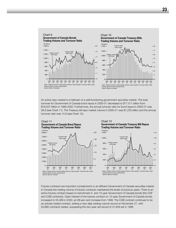

An active repo market is a hallmark of a well-functioning government securities market. The total turnover for Government of Canada bond repos in 2000-01 decreased to \$17,511 billion from \$18,037 billion in 1999-2000. Furthermore, the annual turnover ratio for bond repos in 2000-01 was 58.6 (see Chart 11). The Treasury bill repo market volume in 2000-01 was \$1,235 billion and the annual turnover ratio was 14.8 (see Chart 12).



Futures contracts are important complements to an efficient Government of Canada securities market. In Canada the trading volume of futures contracts maintained the levels of previous years. There is an active futures contract based on benchmark 5- and 10-year Government of Canada bonds (the CGF and CGB contracts). Open interest of the futures contract on 10-year Government of Canada bonds increased to 55,469 in 2000, an 88-per-cent increase from 1999. The CGB contract continues to be an actively traded contract, setting a new daily trading volume record on November 27, with 50,880 contracts traded, surpassing the two-year-old record of 41,649 set in 1998.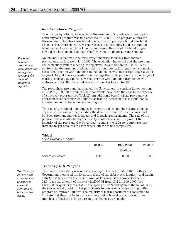#### *Bond Buyback Program*

To enhance liquidity in the market of Government of Canada securities, a pilot bond buyback program was implemented in 1998-99. The program allows the Government to buy back less liquid bonds, thus supporting a liquid new bond issue market. More specifically, repurchases of outstanding bonds are funded by issuance of new benchmark bonds, increasing the size of the bond program beyond the level needed to meet the Government's financial requirements.

*The bond buyback program was implemented on an ongoing basis and the range of maturities expanded.*

An internal evaluation of the pilot, which included feedback from market participants, took place in late 1999. The evaluation indicated that the program has been successful in meeting its objectives. As a result, in its 2000-01 debt strategy the Government implemented the bond buyback program on an ongoing basis. The program was expanded to include bonds with maturities across a wider range of the yield curve in order to encourage the participation of a wider range of market participants. Specifically, the program was expanded from bonds with maturities up to 2011 to include bonds with maturities up to 2022.

The repurchase program has enabled the Government to conduct larger auctions in 1998-99, 1999-2000 and 2000-01 than would have been the case in the absence of a buyback program (see Table 2). An additional benefit of the program was improved secondary market liquidity, as trading increased in less liquid bonds targeted for repurchases under the program.

The size of the annual bond buyback program and the number of transactions depend on several factors, including the desired size of the new issuance and buyback program, market feedback and financial requirements. The size of the program was also affected by the quality of offers received. To protect the integrity of the program, the Government retains the right to repurchase less than the target amounts in cases where offers are not competitive.

#### **Table 2**

*Bond Buyback Program*

|                    | 1998-99 | 1999-2000     | 2000-01 |
|--------------------|---------|---------------|---------|
|                    |         | (\$ millions) |         |
| Amount repurchased | 1,000   | 3,263         | 2,832   |

#### *Treasury Bill Program*

*The Treasury bill program structure was reviewed to ensure it continues to meet investor needs.*

The Treasury bill stock was reduced sharply in the latter half of the 1990s as the Government increased the fixed-rate share of the debt stock. Liquidity and trading activity has fallen over the period. Annual Treasury bill turnover declined to 12.3 times the amount of the stock in 2000-01 from 13.2 in 1999-2000 (see Chart 10 for quarterly results). In the spring of 1999 and again in the fall of 2000, the Government asked market participants for views on a restructuring of the program to improve liquidity. The majority of market participants continued to indicate that they prefer to maintain the existing biweekly auctions of three tranches of Treasury bills; as a result, no changes were made.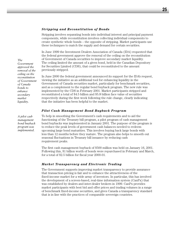#### *Stripping and Reconstitution of Bonds*

Stripping involves separating bonds into individual interest and principal payment components, while reconstitution involves collecting individual components to create synthetic whole bonds – the opposite of stripping. Market participants use these techniques to match the supply and demand for certain securities.

In June 1999 the Investment Dealers Association of Canada (IDA) requested that the federal government approve the removal of the ceiling on the reconstitution of Government of Canada securities to improve secondary market liquidity. The ceiling limited the amount of a given bond, held in the Canadian Depository for Securities Limited (CDS), that could be reconstituted to the amount previously stripped.

In June 2000 the federal government announced its support for the IDA's request, viewing the initiative as an additional tool for enhancing liquidity in the Government of Canada securities market, particularly for benchmark securities, and as a complement to the regular bond buyback program. The new rule was implemented by the CDS in February 2001. Market participants stripped and reconstituted a total of \$4.5 billion and \$5.8 billion face value of securities respectively during the first week following the rule change, clearly indicating that the initiative has been helpful to the market.

#### *Pilot Cash Management Bond Buyback Program*

To help in smoothing the Government's cash requirements and to aid the functioning of the Treasury bill program, a pilot program of cash management bond buybacks was implemented in January 2001. The purpose of the program is to reduce the peak levels of government cash balances needed to redeem upcoming large bond maturities. This involves buying back large bonds with less than 12 months before they mature. The program also helps to smooth out seasonal fluctuations in Treasury bill issuance by reducing cash requirement peaks.

The first cash management buyback of \$500 million was held on January 16, 2001. Following this, \$1 billion worth of bonds were repurchased in February and March, for a total of \$2.5 billion for fiscal year 2000-01.

#### *Market Transparency and Electronic Trading*

The Government supports improving market transparency to provide assurance that transaction pricing is fair and to enhance the attractiveness of the fixed-income market for a wide array of investors. In particular, this has involved the development of a screen-based, real-time information system (CanPx) that was established by dealers and inter-dealer brokers in 1999. CanPx provides market participants with best bid and offer prices and trading volumes in a range of benchmark fixed-income securities, and gives Canada a transparency standard that is in line with the practices of comparable sovereign countries.

*The Government approved the removal of the ceiling on the reconstitution of Government of Canada bonds to enhance secondary market liquidity.* 

*A pilot cash management bond buyback program was implemented.*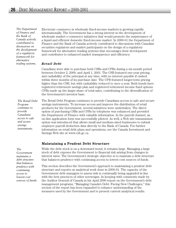*The Department of Finance and the Bank of Canada actively contributed to discussions on the development of a regulatory framework for alternative trading systems.*

Electronic commerce in wholesale fixed-income markets is growing rapidly internationally. The Government has a strong interest in the development of wholesale market e-commerce initiatives that would promote the maintenance of a liquid and efficient domestic fixed-income market. In 2000-01 the Department of Finance and the Bank of Canada actively contributed to discussions with Canadian securities regulators and market participants on the design of a regulatory framework for alternative trading systems that encourages their development and contributes to enhanced market transparency and efficiency.

#### *Retail Debt*

Canadians were able to purchase both CSBs and CPBs during a six-month period between October 2, 2000, and April 1, 2001. The CSB featured one-year pricing and cashability of the principal at any time, with no interest payable if cashed within three months of its purchase date. The CPB featured longer-term pricing higher than the CSB, but with cashability reduced to once a year. Both bonds have registered retirement savings plan and registered retirement income fund options. CPBs made up the larger share of total sales, contributing to the diversification of the Government's investor base.

The Retail Debt Program continues to provide Canadians access to safe and secure savings instruments. To increase access and improve the distribution of retail products for the Government, several initiatives were undertaken. The direct option of purchasing CSBs and CPBs by telephone was enhanced and provided the Department of Finance with valuable information. In the payroll channel, an on-line application form was successfully piloted. As well, a Web site transmission option was introduced that allows small and medium-sized businesses to submit employee payroll deduction data directly to the Bank of Canada. For further information on retail debt plans and operations, see the Canada Investment and Savings Web site at www.csb.gc.ca. *The Retail Debt*

#### **Maintaining a Prudent Debt Structure**

While the debt stock is on a downward trend, it remains large. Managing a large stock of debt exposes the Government to financial risk arising from changes in interest rates. The Government's strategic objective is to maintain a debt structure that balances prudence with continuing access to lowest-cost sources of funds.

This section describes the Government's approach to maintaining a prudent debt structure and reports on analytical work done in 2000-01. The capacity of the Government debt managers to assess risk is continually being upgraded in line with the best practices of other sovereigns. In keeping with comments made by the Auditor General of Canada in his April 2000 report on the Government's debt management programs, "Managing Canada's Debt: Facing New Challenges," this section of the report has been expanded to enhance understanding of the measures used by the Government and to present current analytical results.

*Program continues to provide Canadians access to safe and secure savings instruments.* 

*The*

*Government maintains a debt structure that balances prudence with continuing access to lowest-cost sources of funds.*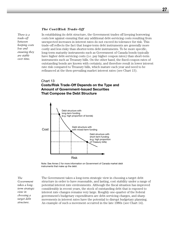#### *The Cost/Risk Trade-Off*

*There is a trade-off between keeping costs low and ensuring they are stable over time.* 

In establishing its debt structure, the Government trades off keeping borrowing costs low against ensuring that any additional debt-servicing costs resulting from unexpected increases in interest rates do not exceed its tolerance for risk. This trade-off reflects the fact that longer-term debt instruments are generally more costly and less risky than shorter-term debt instruments. To be more specific, long-term maturity instruments such as Government of Canada bonds typically have higher debt-servicing costs (i.e. pay higher coupon rates) than short-term instruments such as Treasury bills. On the other hand, the fixed-coupon rates of outstanding bonds are known with certainty, and therefore result in lower interest rate risk compared to Treasury bills, which mature each year and need to be refinanced at the then-prevailing market interest rates (see Chart 13).

#### Chart 13

#### **Costs/Risk Trade-Off Depends on the Type and Amount of Government-Issued Securities That Compose the Debt Structure**



Note: See Annex 2 for more information on Government of Canada market debt instruments that make up the debt.

*The Government takes a longterm strategic view in choosing a target debt structure.*

The Government takes a long-term strategic view in choosing a target debt structure in order to have reasonable, and lasting, cost stability under a range of potential interest rate environments. Although the fiscal situation has improved considerably in recent years, the stock of outstanding debt that is exposed to interest rate changes remains very large. Roughly one-quarter of the federal government's budgetary expenditures are debt-servicing charges, and sharp movements in interest rates have the potential to disrupt budgetary planning. An example of such a movement occurred in the late 1980s (see Chart 14).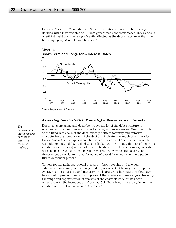Between March 1987 and March 1990, interest rates on Treasury bills nearly doubled while interest rates on 10-year government bonds increased only by about one-third. Debt costs were significantly affected as the debt structure at that time had a high proportion of short-term debt.





Source: Department of Finance.

#### *Assessing the Cost/Risk Trade-Off – Measures and Targets*

*The Government uses a number of tools to assess the cost/risk trade-off.*

Debt managers gauge and describe the sensitivity of the debt structure to unexpected changes in interest rates by using various measures. Measures such as the fixed-rate share of the debt, average term to maturity and duration characterize the composition of the debt and indicate how much of or how often the debt structure is exposed to interest rate variations. Other measures, such as a simulation methodology called Cost at Risk, quantify directly the risk of incurring additional debt costs given a particular debt structure. These measures, consistent with the best practices of comparable sovereign borrowers, are used by the Government to evaluate the performance of past debt management and guide future debt management.

Targets for the main operational measure – fixed-rate share – have been established for many years and reported in previous Debt Management Reports. Average term to maturity and maturity profile are two other measures that have been used in previous years to complement the fixed-rate share analysis. Recently the range and sophistication of analysis of the cost/risk trade-off has been enhanced with the introduction of Cost at Risk. Work is currently ongoing on the addition of a duration measure to the toolkit.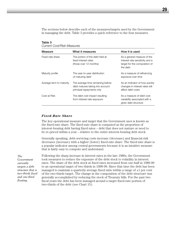The sections below describe each of the measures/targets used by the Government in managing the debt. Table 3 provides a quick reference to the four measures.

| Odirom Oosenish McQsdics |                                                                                                    |                                                                                                             |  |  |
|--------------------------|----------------------------------------------------------------------------------------------------|-------------------------------------------------------------------------------------------------------------|--|--|
| Measure                  | What it measures                                                                                   | How it is used                                                                                              |  |  |
| Fixed-rate share         | The portion of the debt held at<br>fixed interest rates<br>(those over 12 months)                  | As a general measure of the<br>interest rate sensitivity and a<br>target for the composition of<br>the debt |  |  |
| Maturity profile         | The year-to-year distribution<br>of maturing debt                                                  | As a measure of refinancing<br>exposure over time                                                           |  |  |
| Average term to maturity | The average time remaining before<br>debt matures taking into account<br>principal repayments only | As an indicator of how quickly<br>changes in interest rates will<br>affect debt costs                       |  |  |
| Cost at Risk             | The debt cost impact resulting<br>from interest rate exposure                                      | As a measure of debt cost<br>variability associated with a<br>given debt structure                          |  |  |

**Table 3**  *Current Cost/Risk Measures*

#### *Fixed-Rate Share*

The key operational measure and target that the Government uses is known as the fixed-rate share. The fixed-rate share is computed as the proportion of interest-bearing debt having fixed rates – debt that does not mature or need to be re-priced within a year – relative to the entire interest-bearing debt stock.

Generally speaking, debt-servicing costs increase (decrease) and financial risk decreases (increase) with a higher (lower) fixed-rate share. The fixed-rate share is a popular indicator among central governments because it is an intuitive measure that is fairly easy to compute and understand.

*The Government currently targets a debt structure that is two-thirds fixed and one-third floating.* 

Following the sharp increase in interest rates in the late 1980s, the Government took measures to reduce the exposure of the debt stock to volatility in interest rates. The share of the debt stock at fixed rates increased from one-half in 1989-90 to an operational target of two-thirds in 1998-99. Since that time the debt has been managed to maintain a quarterly average fixed ratio within a range of  $\pm 1$  per cent of the two-thirds target. The change in the composition of the debt structure was generally accomplished by reducing the stock of Treasury bills. For the past two fiscal years the debt has been managed around a target fixed-rate portion of two-thirds of the debt (see Chart 15).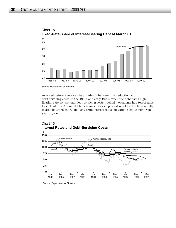

Chart 15 **Fixed-Rate Share of Interest-Bearing Debt at March 31**

Source: Department of Finance.

As noted before, there can be a trade-off between risk reduction and debt-servicing costs. In the 1980s and early 1990s, when the debt had a high floating-rate component, debt-servicing costs tracked movements in interest rates (see Chart 16). Annual debt-servicing costs as a proportion of total debt generally floated between short- and long-term interest rates but varied significantly from year to year.



#### Chart 16 **Interest Rates and Debt-Servicing Costs**

Source: Department of Finance.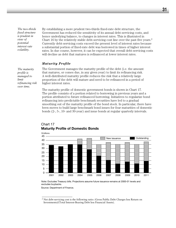*The two-thirds fixed structure is prudent in view of potential interest rate volatility.* 

*The maturity profile is managed to limit*

*refinancing risk over time.*

By establishing a more prudent two-thirds fixed-rate debt structure, the Government has reduced the sensitivity of its annual debt-servicing costs, and hence underlying balance, to changes in interest rates. This is illustrated in Chart 16 by the relatively stable debt-servicing cost line over the past five years.<sup>2</sup> Currently debt-servicing costs exceed the present level of interest rates because a substantial portion of fixed-rate debt was borrowed in times of higher interest rates. In due course, however, it can be expected that overall debt-servicing costs will decline as debt that matures is refinanced at lower interest rates.

#### *Maturity Profile*

The Government manages the maturity profile of the debt (i.e. the amount that matures, or comes due, in any given year) to limit its refinancing risk. A well-distributed maturity profile reduces the risk that a relatively large proportion of the debt will mature and need to be refinanced in a period of higher interest rates.

The maturity profile of domestic government bonds is shown in Chart 17. The profile consists of a portion related to borrowing in previous years and a portion attributed to future refinanced borrowing. Initiatives to regularize bond refinancing into predictable benchmark securities have led to a gradual smoothing out of the maturity profile of the bond stock. In particular, there have been moves to build large benchmark bond issues for four maturities of domestic bonds (2-, 5-, 10- and 30-year) and issue bonds at regular quarterly intervals.



#### Chart 17 **Maturity Profile of Domestic Bonds**

Note: Excludes Treasury bills. Projections assume future issuance remains at 2000-01 levels and excludes buybacks.

Source: Department of Finance.

<sup>2</sup> Net debt-servicing cost is the following ratio: (Gross Public Debt Charges less Return on Investments)/(Total Interest-Bearing Debt less Financial Assets).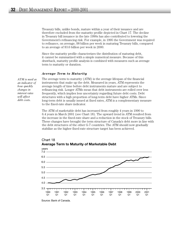Treasury bills, unlike bonds, mature within a year of their issuance and are therefore excluded from the maturity profile depicted in Chart 17. The decline in Treasury bill issuance in the late 1990s has also contributed to lowering the Government's refinancing risk. For example, in 1995 the Government was required to refinance, on average, \$8 billion per week in maturing Treasury bills, compared to an average of \$3.6 billion per week in 2000.

Since the maturity profile characterizes the distribution of maturing debt, it cannot be summarized with a simple numerical measure. Because of this drawback, maturity profile analysis is combined with measures such as average term to maturity or duration.

#### *Average Term to Maturity*

*ATM is used as an indicator of how quickly changes in interest rates will affect debt costs.*

The average term to maturity (ATM) is the average lifespan of the financial instruments that make up the debt. Measured in years, ATM represents the average length of time before debt instruments mature and are subject to refinancing risk. Longer ATMs mean that debt instruments are rolled over less frequently, which implies less uncertainty regarding future debt costs. Debt structures with a high proportion of long-term debt have higher ATMs. Since long-term debt is usually issued at fixed rates, ATM is a complementary measure to the fixed-rate share indicator.

The ATM of marketable debt has increased from roughly 4 years in 1990 to 6.4 years in March 2001 (see Chart 18). The upward trend in ATM resulted from the increase in the fixed-rate share and a reduction in the stock of Treasury bills. These changes have brought the term structure of Canada's debt more in line with the debt structures of the other G-7 countries. The ATM should now gradually stabilize as the higher fixed-rate structure target has been achieved.



Chart 18 **Average Term to Maturity of Marketable Debt**

Source: Bank of Canada.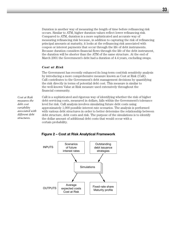Duration is another way of measuring the length of time before refinancing risk occurs. Similar to ATM, higher duration values reflect lower refinancing risk. Compared to ATM, duration is a more sophisticated and accurate way of measuring refinancing risk because, in addition to capturing the risk of refinancing principal amounts at maturity, it looks at the refinancing risk associated with coupon or interest payments that occur through the life of debt instruments. Because duration considers financial flows through the life of the debt instrument, the duration will be shorter than the ATM of the same structure. At the end of March 2001 the Government's debt had a duration of 4.4 years, excluding swaps.

#### *Cost at Risk*

The Government has recently enhanced its long-term cost/risk sensitivity analysis by introducing a more comprehensive measure known as Cost at Risk (CaR). CaR contributes to the Government's debt management decisions by quantifying the risk directly in terms of potential debt cost. This measure is similar to the well-known Value at Risk measure used extensively throughout the financial community.

*Cost at Risk measures the debt cost variability associated with different debt structures.* 

CaR is a sophisticated and rigorous way of identifying whether the risk of higher debt-servicing costs, measured in dollars, falls within the Government's tolerance level for risk. CaR analysis involves simulating future debt costs using approximately 1,000 possible interest rate scenarios. The analysis is performed with various debt structures in order to better determine the relationship between debt structure, debt costs and risk. The purpose of the simulations is to identify the dollar amount of additional debt costs that would occur with a certain probability.



**Figure 2 – Cost at Risk Analytical Framework**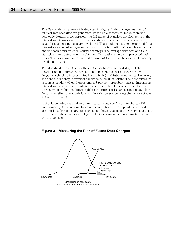The CaR analysis framework is depicted in Figure 2. First, a large number of interest rate scenarios are generated, based on a theoretical model from the economic literature, to represent the full range of plausible developments in the interest rate term structure. The outstanding stock of debt is considered and several issuance strategies are developed. The simulation is then performed for all interest rate scenarios to generate a statistical distribution of possible debt costs and the cash flows for each issuance strategy. The average debt cost and CaR statistic are extracted from the obtained distribution along with projected cash flows. The cash flows are then used to forecast the fixed-rate share and maturity profile indicators.

The statistical distribution for the debt costs has the general shape of the distribution in Figure 3. As a rule of thumb, scenarios with a large positive (negative) shock to interest rates lead to high (low) future debt costs. However, the central tendency is for most shocks to be small in nature. The debt structure is seen as prudent when there is only a 5-per-cent probability that an increase in interest rates causes debt costs to exceed the defined tolerance level. In other words, when evaluating different debt structures (or issuance strategies), a key factor is whether or not CaR falls within a risk tolerance range that is acceptable to the Government.

It should be noted that unlike other measures such as fixed-rate share, ATM and duration, CaR is not an objective measure because it depends on several assumptions. In particular, experience has shown that results are very sensitive to the interest rate scenarios employed. The Government is continuing to develop the CaR analysis.

#### **Figure 3 – Measuring the Risk of Future Debt Charges**



Distribution of debt costs based on simulated interest rate scenarios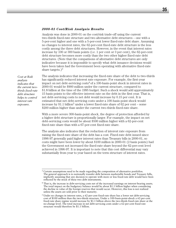#### *2000-01 Cost/Risk Analysis Results*

Analysis was done in 2000-01 on the cost/risk trade-off using the current two-thirds fixed-rate structure and two alternative debt structures – one with a 5-per-cent higher and one with a 5-per-cent lower fixed-rate debt share. Assuming no changes to interest rates, the 62-per-cent fixed-rate debt structure is the less costly among the three debt structures. However, in the event that interest rates increase by 100 or 300 basis points (i.e. 1 per cent or 3 per cent), the 62-per-cent debt structure becomes more costly than the two other higher fixed-rate debt structures. (Note that the comparisons of alternative debt structures are only indicative because it is impossible to specify what debt issuance decisions would have been taken had the Government been operating with alternative fixed-rate share targets.) $3$ 

*Cost at Risk analysis indicates that the current twothirds fixed-rate debt structure helps to control interest rate exposure.*

The analysis indicates that increasing the fixed-rate share of the debt to two-thirds has significantly reduced interest rate exposure. For example, the first-year impact on net debt-servicing  $\cos t^4$  of a 100-basis-point shock in interest rates in 2000-01 would be \$900 million under the current structure, compared to \$1.8 billion at the time of the 1995 budget. Such a shock would add approximately 15 basis points to the effective interest rate on the debt in the first year. That is, net debt-servicing costs to net debt would increase by 0.15 per cent. It is estimated that net debt-servicing costs under a 100-basis-point shock would increase by \$1.1 billion<sup>5</sup> under a lower fixed-rate share of  $62$  per cent – some \$200 million higher than under the current two-thirds fixed-rate share.

With a more severe 300-basis-point shock, the degree of protection afforded by a higher debt structure is proportionally larger. For example, the impact on net debt-servicing costs would be about \$500 million higher with a 62-per-cent fixed-rate share than with a 67-per-cent fixed-rate share.

The analysis also indicates that the reduction of interest rate exposure from raising the fixed-rate share of the debt has a cost. Fixed-rate debt issued since 1996-97 generally paid higher interest rates than Treasury bills in 2000-01, so costs might have been lower by about \$100 million in 2000-01 (2 basis points) had the Government not increased the fixed-rate share beyond the 62-per-cent level achieved in 1996-97. It is important to note that this cost differential may vary substantially from year to year based on the term structure of interest rates.

<sup>&</sup>lt;sup>3</sup> Certain assumptions need to be made regarding the composition of alternative portfolios. The general approach is to notionally transfer debt between marketable bonds and Treasury bills, implicitly assuming that any decision to operate with more or less fixed-rate debt would have been reflected by the stock of these two debt instruments.

<sup>4</sup> That is, the increase in debt-servicing costs net of the increased earnings on interest-bearing assets. The total impact on the budgetary balance would be about \$1.1 billion higher when considering the decline in value of the foreign reserves that would occur. However, this loss is not realized unless the assets are sold prior to their maturity.

 $5$  Under no changes in interest rates, a 62-per-cent fixed-rate share has a lower net debt-servicing cost of \$100 million than the two-thirds structure. Under a 100-basis-point-shock a 62-per-cent fixed-rate share regime would increase by \$1.1 billion above the two-thirds fixed-rate share at the no-change level. The total increase in net debt-servicing costs under a 62-per-cent fixed-rate structure would therefore be \$1.1 billion.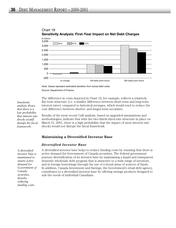

Chart 19 **Sensitivity Analysis: First-Year Impact on Net Debt Charges**

Note: Values represent estimated deviation from actual debt costs. Source: Department of Finance.

The difference in costs depicted in Chart 19, for example, reflects a relatively flat term structure (i.e. a smaller difference between short-term and long-term interest rates) compared to historical averages, which would tend to reduce the cost difference between shorter- and longer-term securities.

Results of the most recent CaR analysis, based on upgraded assumptions and methodologies, indicate that with the two-thirds fixed-rate structure in place on March 31, 2001, there is a high probability that the impact of most interest rate shocks would not disrupt the fiscal framework.

#### **Maintaining a Diversified Investor Base**

#### *Diversified Investor Base*

*A diversified investor base is maintained to ensure active demand for Government of Canada securities, thereby reducing funding costs.* 

A diversified investor base helps to reduce funding costs by ensuring that there is active demand for Government of Canada securities. The federal government pursues diversification of its investor base by maintaining a liquid and transparent domestic wholesale debt program that is attractive to a wide range of investors, and in foreign borrowings through the use of a broad array of sources of funds. In addition, Canada Investment and Savings, the Government's retail debt agency, contributes to a diversified investor base by offering savings products designed to suit the needs of individual Canadians.

*Sensitivity analysis shows that there is a low probability that interest rate shocks would disrupt the fiscal framework.*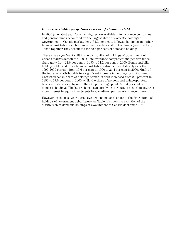#### *Domestic Holdings of Government of Canada Debt*

In 2000 (the latest year for which figures are available) life insurance companies and pension funds accounted for the largest share of domestic holdings of Government of Canada market debt (31.2 per cent), followed by public and other financial institutions such as investment dealers and mutual funds (see Chart 20). Taken together, they accounted for 52.6 per cent of domestic holdings.

There was a significant shift in the distribution of holdings of Government of Canada market debt in the 1990s. Life insurance companies' and pension funds' share grew from 21.6 per cent in 1990 to 31.2 per cent in 2000. Bonds and bills held by public and other financial institutions also increased sharply over the 1990-2000 period – from 10.6 per cent in 1990 to 21.4 per cent in 2000. Much of the increase is attributable to a significant increase in holdings by mutual funds. Chartered banks' share of holdings of market debt increased from 9.5 per cent in 1990 to 17.6 per cent in 2000, while the share of persons and unincorporated businesses decreased by more than 23 percentage points to 9.4 per cent of domestic holdings. The latter change can largely be attributed to the shift towards more interest in equity investments by Canadians, particularly in recent years.

However, in the past year there have been no major changes in the distribution of holdings of government debt. Reference Table IV shows the evolution of the distribution of domestic holdings of Government of Canada debt since 1976.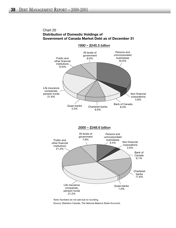# Chart 20 **Distribution of Domestic Holdings of Government of Canada Market Debt as of December 31**



Source: Statistics Canada, *The National Balance Sheet Accounts*. Note: Numbers do not add due to rounding.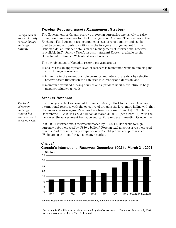# **Foreign Debt and Assets Management Strategy**

*Foreign debt is used exclusively to raise foreign exchange reserves.*

The Government of Canada borrows in foreign currencies exclusively to raise foreign exchange reserves for the Exchange Fund Account. The reserves in the Exchange Fund Account are maintained as a source of liquidity and can be used to promote orderly conditions in the foreign exchange market for the Canadian dollar. Further details on the management of international reserves is available in *Exchange Fund Account* - *Annual Report*, available on the Department of Finance Web site at www.fin.gc.ca.

The key objectives of Canada's reserve program are to:

- ensure that an appropriate level of reserves is maintained while minimizing the cost of carrying reserves;
- immunize to the extent possible currency and interest rate risks by selecting reserve assets that match the liabilities in currency and duration; and
- maintain diversified funding sources and a prudent liability structure to help manage refinancing needs.

# *Level of Reserves*

*The level of foreign exchange reserves has been increased in recent years.* In recent years the Government has made a steady effort to increase Canada's international reserves with the objective of bringing the level more in line with that of comparable sovereigns. Reserves have been increased from US\$11.9 billion at December 31, 1992, to US\$33.5 billion at March 31, 2001 (see Chart 21). With the increases, the Government has made substantial progress in meeting its objective.

In 2000-01 international reserves increased by US\$2.4 billion while foreign currency debt increased by US\$0.4 billion.6 Foreign exchange reserves increased as a result of cross-currency swaps of domestic obligations and purchases of US dollars in the spot foreign exchange market.



# Chart 21 **Canada's International Reserves, December 1992 to March 31, 2001**

Sources: Department of Finance; International Monetary Fund, *International Financial Statistics*.

<sup>6</sup> Including \$492 million in securities assumed by the Government of Canada on February 5, 2001, on the dissolution of Petro Canada Limited.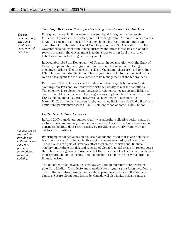## *The gap between foreign assets and liabilities is being reduced over time.*

## *The Gap Between Foreign Currency Assets and Liabilities*

Foreign currency liabilities came to exceed liquid foreign currency assets (i.e. cash, deposits and securities) in the Exchange Fund Account in recent years, largely as a result of extensive foreign exchange intervention and important commitments to the International Monetary Fund in 1998. Consistent with the Government's policy of immunizing currency and interest rate risk in Canada's reserve program, the Government is taking steps to bring foreign currency liabilities in line with foreign currency assets.

In December 1998 the Department of Finance, in collaboration with the Bank of Canada, implemented a program of purchases of US dollars in the foreign exchange markets. The proceeds of sales of Canadian dollars are used to reduce US-dollar-denominated liabilities. This program is conducted by the Bank in its role as fiscal agent for the Government in its management of the federal debt.

Purchases of US dollars are small in relation to the large daily flows in foreign exchange markets and are undertaken with sensitivity to market conditions. The objective is to close the gap between foreign currency assets and liabilities over the next few years. When the program was implemented, the gap was some US\$13 billion, and substantial progress has been made in closing it: as of March 31, 2001, the gap between foreign currency liabilities (US\$36.6 billion) and liquid foreign currency assets (US\$30.2 billion) stood at some US\$6.3 billion.

#### *Collective Action Clauses*

In April 2000 Canada announced that it was adopting collective action clauses in its future foreign currency bond and note issues. Collective action clauses in bond contracts facilitate debt restructuring by providing an orderly framework for debtors and creditors.

By bringing in collective action clauses, Canada indicated that it was helping to lead the process of having collective action clauses adopted by all countries. These clauses are part of Canada's effort to promote international financial stability and reduce the risk and severity of global financial crises. In recent years there has been a growing consensus that the wider use of collective action clauses in international bond contracts could contribute to a more orderly resolution of financial crises.

The documentation governing Canada's two foreign currency note programs (the Euro Medium-Term Note and Canada Note programs) has been modified to ensure that all future issuance under these programs includes collective action clauses. Future global bond issues by Canada will also include these clauses.

*Canada has led the world in introducing collective action clauses to promote international financial stability.*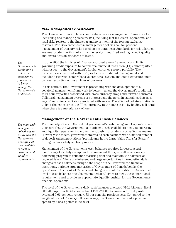#### *Risk Management Framework*

The Government has in place a comprehensive risk management framework for identifying and managing treasury risk, including market, credit, operational and legal risks related to the financing and investment of the foreign exchange reserves. The Government's risk management policies call for prudent management of treasury risks based on best practices. Standards for risk tolerance are very prudent, with market risks generally immunized and high credit quality and diversification standards followed.

In June 2000 the Minister of Finance approved a new framework and limits governing credit exposure to commercial financial institution (FI) counterparties with respect to the Government's foreign currency reserve portfolio. The framework is consistent with best practices in credit risk management and includes a rigorous, comprehensive credit risk system and credit exposure limits on counterparties across all lines of business.

In this context, the Government is proceeding with the development of a collateral management framework to better manage the Government's credit risk to FI counterparties associated with cross-currency swaps and forward contracts. Collateral management systems are increasingly the norm in capital markets as a way of managing credit risk associated with swaps. The effect of collateralization is to limit the exposure to the FI counterparty to the transaction by holding collateral when there is a material risk of loss.

# **Management of the Government's Cash Balances**

The main objectives of the federal government's cash management operations are to ensure that the Government has sufficient cash available to meet its operating and liquidity requirements, and to invest cash in a prudent, cost-effective manner. Currently the federal government invests its cash balances with a limited number of deposit-taking institutions (participants in the Large-Value Transfer System) through a twice-daily auction process.

Management of the Government's cash balances requires forecasting and monitoring of its daily receipt and disbursement flows, as well as an ongoing borrowing program to refinance maturing debt and maintain the balances at targeted levels. There are inherent and large uncertainties in forecasting daily changes in cash balances owing to the scope of the Government's financial operations, periodic large maturities of Government of Canada bonds, the operations of the Bank of Canada and changes in market conditions. An adequate level of cash balances must be maintained at all times to meet these operational requirements and provide an appropriate liquidity cushion for the Government's financial operations.

The level of the Government's daily cash balances averaged \$10.2 billion in fiscal 2000-01, up from \$8.4 billion in fiscal 1999-2000. Earnings on term deposits averaged 5.61 per cent versus 4.78 per cent the previous year. Compared to the weighted cost of Treasury bill borrowings, the Government earned a positive spread by 4 basis points in 2000-01.

*The main cash management objective is to ensure that the Government has sufficient cash available to meet its operating and liquidity requirements.* 

*The*

*Government is developing a collateral management framework to better manage the Government's credit risk.*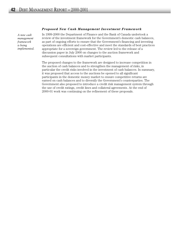#### *Proposed New Cash Management Investment Framework*

*A new cash management framework is being implemented.*  In 1999-2000 the Department of Finance and the Bank of Canada undertook a review of the investment framework for the Government's domestic cash balances, as part of ongoing efforts to ensure that the Government's financing and investing operations are efficient and cost-effective and meet the standards of best practices appropriate for a sovereign government. The review led to the release of a discussion paper in July 2000 on changes to the auction framework and subsequent consultations with market participants.

The proposed changes to the framework are designed to increase competition in the auction of cash balances and to strengthen the management of risks, in particular the credit risks involved in the investment of cash balances. In summary, it was proposed that access to the auctions be opened to all significant participants in the domestic money market to ensure competitive returns are earned on cash balances and to diversify the Government's counterparties. The Government also proposed to introduce a credit risk management system through the use of credit ratings, credit lines and collateral agreements. At the end of 2000-01 work was continuing on the refinement of these proposals.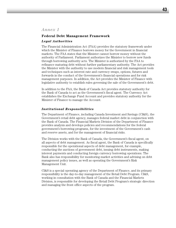# **Federal Debt Management Framework**

#### *Legal Authorities*

The Financial Administration Act (FAA) provides the statutory framework under which the Minister of Finance borrows money for the Government in financial markets. The FAA states that the Minister cannot borrow money without the authority of Parliament. Parliament authorizes the Minister to borrow new funds through borrowing authority acts. The Minister is authorized by the FAA to refinance maturing debt without further parliamentary authority. The Act provides the Minister with the authority to use modern financial and risk management tools and techniques such as interest rate and currency swaps, options, futures and forwards in the conduct of the Government's financial operations and for risk management purposes. In addition, the Act provides the Minister of Finance with legislative authority to establish rules governing the sale of the Government's debt.

In addition to the FAA, the Bank of Canada Act provides statutory authority for the Bank of Canada to act as the Government's fiscal agent. The Currency Act establishes the Exchange Fund Account and provides statutory authority for the Minister of Finance to manage the Account.

## *Institutional Responsibilities*

The Department of Finance, including Canada Investment and Savings (CI&S), the Government's retail debt agency, manages federal market debt in conjunction with the Bank of Canada. The Financial Markets Division of the Department of Finance provides analysis and develops policies and recommendations for the federal government's borrowing programs, for the investment of the Government's cash and reserve assets, and for the management of financial risks.

The Division works with the Bank of Canada, the Government's fiscal agent, on all aspects of debt management. As fiscal agent, the Bank of Canada is specifically responsible for the operational aspects of debt management, for example, conducting the auctions of government debt, issuing debt instruments, making interest payments and conducting foreign currency borrowing operations. The Bank also has responsibility for monitoring market activities and advising on debt management policy issues, as well as operating the Government's Risk Management Unit.

CI&S is a special operating agency of the Department of Finance, and its primary responsibility is the day-to-day management of the Retail Debt Program. CI&S, working in consultation with the Bank of Canada and the Financial Markets Division, is responsible for developing the Retail Debt Program's strategic direction and managing the front office aspects of the program.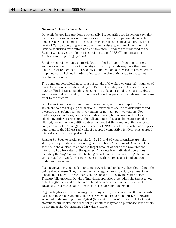#### *Domestic Debt Operations*

Domestic borrowings are done strategically, i.e. securities are issued on a regular, transparent basis to maximize investor interest and participation. Marketable bonds, real return bonds (RRBs) and Treasury bills are sold via auction, with the Bank of Canada operating as the Government's fiscal agent, to Government of Canada securities distributors and end-investors. Tenders are submitted to the Bank of Canada via the electronic auction system CARS (Communications, Auctions and Reporting System).

Bonds are auctioned on a quarterly basis in the 2-, 5- and 10-year maturities, and on a semi-annual basis in the 30-year maturity. Bonds may be either new maturities or reopenings of previously auctioned bonds. New issues are generally reopened several times in order to increase the size of the issue to the target benchmark bond size.

The bond auction calendar, setting out details of the planned quarterly issuance of marketable bonds, is published by the Bank of Canada prior to the start of each quarter. Final details, including the amounts to be auctioned, the maturity date, and the amount outstanding in the case of bond reopenings, are released one week prior to the auction.

Bond sales take place via multiple-price auctions, with the exception of RRBs, which are sold via single-price auctions. Government securities distributors and investors may submit competitive tenders or non-competitive tenders. For multiple-price auctions, competitive bids are accepted in rising order of yield (declining order of price) until the full amount of the issue being auctioned is allotted, while non-competitive bids are allotted at the average of the accepted competitive bids. For single-price auctions of RRBs, bonds are allotted at the price equivalent of the highest real yield of accepted competitive tenders, plus accrued interest and inflation adjustment.

Regular buyback operations in the 2-, 5-, 10- and 30-year maturities are held shortly after periodic corresponding bond auctions. The Bank of Canada publishes with the bond auction calendar the target amount of bonds the Government intends to buy back during the quarter. Final details of individual operations, including the target amount to be bought back and the basket of eligible bonds, are released one week prior to the auction with the release of bond auction under announcement.

Cash management buyback operations target large bonds with less than 12 months before they mature. They are held on an irregular basis to suit government cash management needs. These operations are held on Tuesday mornings before Treasury bill auctions. Details of individual operations, including the target amount to be bought back and the basket of bond targets, are announced one week in advance with a release of the Treasury bill tender announcement.

Regular buyback and cash management buyback operations are settled on a cash basis and take place via multiple-price reverse auctions. Competitive offers are accepted in decreasing order of yield (increasing order of price) until the target amount to buy back is met. The target amounts may not be purchased if the offers do not meet the Government's fair value criteria.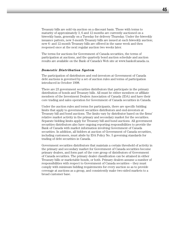Treasury bills are sold via auction on a discount basis. Those with terms to maturity of approximately 3, 6 and 12 months are currently auctioned on a biweekly basis, generally on a Tuesday for delivery Thursday. Under the biweekly issuance pattern, new 3-month Treasury bills are issued at each biweekly auction; new 6- and 12-month Treasury bills are offered in the same week and then reopened once at the next regular auction two weeks later.

The terms for auctions for Government of Canada securities, the terms of participation at auctions, and the quarterly bond auction schedule and auction results are available on the Bank of Canada's Web site at www.bankofcanada.ca.

#### *Domestic Distribution System*

The participation of distributors and end-investors at Government of Canada debt auctions is governed by a set of auction rules and terms of participation introduced in October 1998.

There are 23 government securities distributors that participate in the primary distribution of bonds and Treasury bills. All must be either members or affiliate members of the Investment Dealers Association of Canada (IDA) and have their core trading and sales operation for Government of Canada securities in Canada.

Under the auction rules and terms for participants, there are specific bidding limits that apply to government securities distributors and end-investors at Treasury bill and bond auctions. The limits vary by distributor based on the firms' relative market activity in the primary and secondary market for the securities. Separate bidding limits apply for Treasury bill and bond auctions. All government securities distributors also have ongoing reporting responsibilities to provide the Bank of Canada with market information involving Government of Canada securities. In addition, all bidders at auction of Government of Canada securities, including customers, must abide by IDA Policy No. 5 governing standards for trading of debt securities in Canada.

Government securities distributors that maintain a certain threshold of activity in the primary and secondary market for Government of Canada securities become primary dealers, and form part of the core group of distributors of Government of Canada securities. The primary dealer classification can be attained in either Treasury bills or marketable bonds, or both. Primary dealers assume a number of responsibilities with respect to Government of Canada securities – they must comply with minimum bidding requirements for every auction so as to provide coverage at auctions as a group, and consistently make two-sided markets to a broad customer base.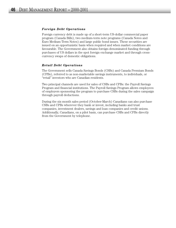# *Foreign Debt Operations*

Foreign currency debt is made up of a short-term US-dollar commercial paper program (Canada Bills), two medium-term note programs (Canada Notes and Euro Medium-Term Notes) and large public bond issues. These securities are issued on an opportunistic basis when required and when market conditions are favourable. The Government also obtains foreign-denominated funding through purchases of US dollars in the spot foreign exchange market and through crosscurrency swaps of domestic obligations.

## *Retail Debt Operations*

The Government sells Canada Savings Bonds (CSBs) and Canada Premium Bonds (CPBs), referred to as non-marketable savings instruments, to individuals, or "retail" investors who are Canadian residents.

Two principal channels are used for sales of CSBs and CPBs: the Payroll Savings Program and financial institutions. The Payroll Savings Program allows employees of employers sponsoring the program to purchase CSBs during the sales campaign through payroll deductions.

During the six-month sales period (October-March) Canadians can also purchase CSBs and CPBs wherever they bank or invest, including banks and trust companies, investment dealers, savings and loan companies and credit unions. Additionally, Canadians, on a pilot basis, can purchase CSBs and CPBs directly from the Government by telephone.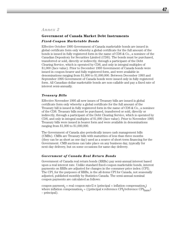# **Government of Canada Market Debt Instruments** *Fixed-Coupon Marketable Bonds*

Effective October 1995 Government of Canada marketable bonds are issued in global certificate form only whereby a global certificate for the full amount of the bonds is issued in fully registered form in the name of CDS & Co., a nominee of the Canadian Depository for Securities Limited (CDS). The bonds must be purchased, transferred or sold, directly or indirectly, through a participant of the Debt Clearing Service, which is operated by CDS, and only in integral multiples of \$1,000 (face value). Prior to December 1993 Government of Canada bonds were issued in coupon-bearer and fully registered form, and were available in denominations ranging from \$1,000 to \$1,000,000. Between December 1993 and September 1995 Government of Canada bonds were issued only in fully registered form. All Canadian-dollar marketable bonds are non-callable and pay a fixed rate of interest semi-annually.

# *Treasury Bills*

Effective November 1995 all new issues of Treasury bills are issued is global certificate form only whereby a global certificate for the full amount of the Treasury bill is issued in fully registered form in the name of CDS & Co., a nominee of the CDS. Treasury bills must be purchased, transferred or sold, directly or indirectly, through a participant of the Debt Clearing Service, which is operated by CDS, and only in integral multiples of \$1,000 (face value). Prior to November 1995 Treasury bills were issued in bearer form and were available in denominations ranging from \$1,000 to \$1,000,000.

The Government of Canada also periodically issues cash management bills (CMBs). CMBs are Treasury bills with maturities of less than three months (they can be as short as one day) used as a source of short-term financing for the Government. CMB auctions can take place on any business day, typically for next-day delivery, but on some occasions for same-day delivery.

# *Government of Canada Real Return Bonds*

Government of Canada real return bonds (RRBs) pay semi-annual interest based upon a real interest rate. Unlike standard fixed-coupon marketable bonds, interest payments on RRBs are adjusted for changes in the consumer price index (CPI). The CPI, for the purposes of RRBs, is the all-items CPI for Canada, not seasonally adjusted, published monthly by Statistics Canada. The semi-annual nominal coupon payments are calculated as follows:

coupon payment<sub>i</sub> = real coupon rate/2 x (principal + inflation compensation<sub>i</sub>) where inflation compensation<sub>i</sub> = ((principal x reference  $\text{CPI}_{\text{i}}\text{/reference } \text{CPI}_{\text{base}}$ ) – principal).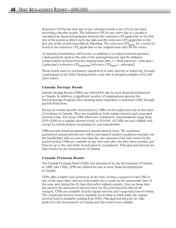Reference CPI for the first day of any calendar month is the CPI for the third preceding calendar month. The reference CPI for any other day in a month is calculated by linear interpolation between the reference CPI applicable to the first day of the month in which such day falls and the reference CPI applicable to the first day of the month immediately following. The reference CPI<sub>base</sub> for a series of bonds is the reference  $\text{CPI}_i$  applicable to the original issue date for the series.

At maturity bondholders will receive, in addition to a coupon interest payment, a final payment equal to the sum of the principal amount and the inflation compensation accrued from the original issue date, i.e. final payment = principal + ((principal x reference  $\text{CPI}_{\text{matrix}}/\text{reference } \text{CPI}_{\text{base}}$ ) – principal).

These bonds must be purchased, transferred or sold, directly or indirectly, through a participant of the Debt Clearing Service and only in integral multiples of \$1,000 (face value).

# *Canada Savings Bonds*

Canada Savings Bonds (CSBs) are offered for sale by most financial institutions in Canada. In addition, a significant number of organizations sponsor the Payroll Savings Program, thus allowing many Canadians to purchase CSBs through payroll deductions.

Except in certain specific circumstances, CSBs can be registered only in the name of residents of Canada. They are available in both regular interest and compound interest forms. For those CSBs which are certificated, denominations range from \$100 (\$300 for a regular interest bond) to \$10,000. All CSBs are non-callable and, except in certain limited circumstances, non-transferable.

CSBs provide minimum guaranteed annual interest rates. The minimum guaranteed annual interest rate will be increased if market conditions warrant, but the bondholder will not earn less than the rate announced for that series for the posted period. CSBs are cashable at any time and, after the first three months, pay interest up to the end of the month prior to encashment. Principal and interest are fully backed by the Government of Canada.

#### *Canada Premium Bonds*

The Canada Premium Bond (CPB) was introduced by the Government of Canada in 1998. Like CSBs, CPBs are offered for sale at most financial institutions in Canada.

CPBs offer a higher rate of interest at the time of issue compared to the CSB on sale at the same time, and are redeemable once a year on the anniversary date of the issue and during the 30 days thereafter without penalty. Once an issue date has passed, the announced interest rates for the posted period will not be changed. CPBs are available in both regular interest and compound interest forms. The compound interest bond is available for as little as \$100 while the regular interest bond is available starting from \$300. Principal and interest are fully backed by the Government of Canada and this bond is non-callable.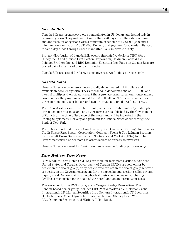#### *Canada Bills*

Canada Bills are promissory notes denominated in US dollars and issued only in book-entry form. They mature not more than 270 days from their date of issue, and are discount obligations with a minimum order size of US\$1,000,000 and a minimum denomination of US\$1,000. Delivery and payment for Canada Bills occur in same-day funds through Chase Manhattan Bank in New York City.

Primary distribution of Canada Bills occurs through five dealers: CIBC Wood Gundy Inc., Credit Suisse First Boston Corporation, Goldman, Sachs & Co., Lehman Brothers Inc. and RBC Dominion Securities Inc. Rates on Canada Bills are posted daily for terms of one to six months.

Canada Bills are issued for foreign exchange reserve funding purposes only.

#### *Canada Notes*

Canada Notes are promissory notes usually denominated in US dollars and available in book-entry form. They are issued in denominations of US\$1,000 and integral multiples thereof. At present the aggregate principal amount outstanding issued under the program is limited to US\$10.0 billion. Notes can be issued for terms of nine months or longer, and can be issued at a fixed or a floating rate.

The interest rate or interest rate formula, issue price, stated maturity, redemption or repayment provisions, and any other terms are established by the Government of Canada at the time of issuance of the notes and will be indicated in the Pricing Supplement. Delivery and payment for Canada Notes occur through the Bank of New York.

The notes are offered on a continual basis by the Government through five dealers: Credit Suisse First Boston Corporation, Goldman, Sachs & Co., Lehman Brothers Inc., Nesbitt Burns Securities Inc. and Scotia Capital Markets (USA) Inc. The Government may also sell notes to other dealers or directly to investors.

Canada Notes are issued for foreign exchange reserve funding purposes only.

#### *Euro Medium-Term Notes*

Euro Medium-Term Notes (EMTNs) are medium-term notes issued outside the United States and Canada. Government of Canada EMTNs are sold either by dealers in the dealer group, or by dealers who are not in the dealer group but who are acting as the Government's agent for the particular transaction (called reverse inquiry). EMTNs are sold on a bought-deal basis (i.e. the dealer purchasing EMTNs is responsible for the sale of the notes) and on an intermittent basis.

The Arranger for the EMTN program is Morgan Stanley Dean Witter. The London-based dealer group includes CIBC World Markets plc, Goldman Sachs International, J.P. Morgan Securities Ltd., Nomura International, TD Securities, Deutsche Bank, Merrill Lynch International, Morgan Stanley Dean Witter, RBC Dominion Securities and Warburg Dillon Read.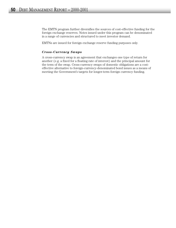The EMTN program further diversifies the sources of cost-effective funding for the foreign exchange reserves. Notes issued under this program can be denominated in a range of currencies and structured to meet investor demand.

EMTNs are issued for foreign exchange reserve funding purposes only.

# *Cross-Currency Swaps*

A cross-currency swap is an agreement that exchanges one type of return for another (e.g. a fixed for a floating rate of interest) and the principal amount for the term of the swap. Cross-currency swaps of domestic obligations are a costeffective alternative to foreign-currency-denominated bond issues as a means of meeting the Government's targets for longer-term foreign currency funding.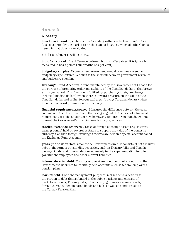# *Annex 3*

## **Glossary**

**benchmark bond:** Specific issue outstanding within each class of maturities. It is considered by the market to be the standard against which all other bonds issued in that class are evaluated.

**bid:** Price a buyer is willing to pay.

**bid-offer spread:** The difference between bid and offer prices. It is typically measured in basis points (hundredths of a per cent).

**budgetary surplus:** Occurs when government annual revenues exceed annual budgetary expenditures. A deficit is the shortfall between government revenues and budgetary spending.

**Exchange Fund Account:** A fund maintained by the Government of Canada for the purpose of promoting order and stability of the Canadian dollar in the foreign exchange market. This function is fulfilled by purchasing foreign exchange (selling Canadian dollars) when there is upward pressure on the value of the Canadian dollar and selling foreign exchange (buying Canadian dollars) when there is downward pressure on the currency.

**financial requirements/source:** Measures the difference between the cash coming in to the Government and the cash going out. In the case of a financial requirement, it is the amount of new borrowing required from outside lenders to meet the Government's financing needs in any given year.

**foreign exchange reserves:** Stocks of foreign exchange assets (e.g. interestearning bonds) held by sovereign states to support the value of the domestic currency. Canada's foreign exchange reserves are held in a special account called the Exchange Fund Account.

**gross public debt:** Total amount the Government owes. It consists of both market debt in the form of outstanding securities, such as Treasury bills and Canada Savings Bonds, and internal debt owed mainly to the superannuation fund for government employees and other current liabilities.

**interest-bearing debt:** Consists of unmatured debt, or market debt, and the Government's liabilities to internally held accounts such as federal employees' pension plans.

**market debt:** For debt management purposes, market debt is defined as the portion of debt that is funded in the public markets, and consists of marketable bonds, Treasury bills, retail debt (e.g. Canada Savings Bonds), foreign-currency-denominated bonds and bills, as well as bonds issued to the Canada Pension Plan.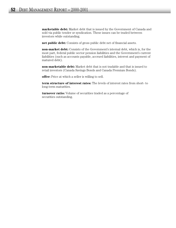**marketable debt:** Market debt that is issued by the Government of Canada and sold via public tender or syndication. These issues can be traded between investors while outstanding.

**net public debt:** Consists of gross public debt net of financial assets.

**non-market debt:** Consists of the Government's internal debt, which is, for the most part, federal public sector pension liabilities and the Government's current liabilities (such as accounts payable, accrued liabilities, interest and payment of matured debt).

**non-marketable debt:** Market debt that is not tradable and that is issued to retail investors (Canada Savings Bonds and Canada Premium Bonds).

**offer:** Price at which a seller is willing to sell.

**term structure of interest rates:** The levels of interest rates from short- to long-term maturities.

**turnover ratio:** Volume of securities traded as a percentage of securities outstanding.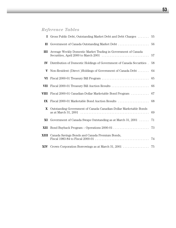# *Reference Tables*

|               | I Gross Public Debt, Outstanding Market Debt and Debt Charges                                                                                               | 55 |
|---------------|-------------------------------------------------------------------------------------------------------------------------------------------------------------|----|
| $\mathbf{I}$  | Government of Canada Outstanding Market Debt                                                                                                                | 56 |
| Ш             | Average Weekly Domestic Market Trading in Government of Canada                                                                                              | 57 |
| $\mathbf{IV}$ | Distribution of Domestic Holdings of Government of Canada Securities.                                                                                       | 58 |
| V             | Non-Resident (Direct) Holdings of Government of Canada Debt                                                                                                 | 64 |
| VI            |                                                                                                                                                             | 65 |
| VII           |                                                                                                                                                             | 66 |
| VIII          | Fiscal 2000-01 Canadian-Dollar Marketable Bond Program                                                                                                      | 67 |
| IX            |                                                                                                                                                             | 68 |
| X             | Outstanding Government of Canada Canadian-Dollar Marketable Bonds                                                                                           | 69 |
| XI            | Government of Canada Swaps Outstanding as at March 31, 2001                                                                                                 | 71 |
| XII           |                                                                                                                                                             | 73 |
|               | XIII Canada Savings Bonds and Canada Premium Bonds,<br>Fiscal 1983-84 to Fiscal 2000-01 $\dots \dots \dots \dots \dots \dots \dots \dots \dots \dots \dots$ | 74 |
|               |                                                                                                                                                             |    |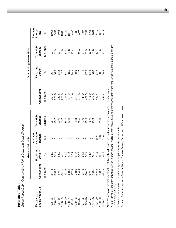| Gross Public Debt, Outstanding Market Debt and Debt Charges |                         |                       |                                               |                       |                |                         |                       |                             |
|-------------------------------------------------------------|-------------------------|-----------------------|-----------------------------------------------|-----------------------|----------------|-------------------------|-----------------------|-----------------------------|
|                                                             |                         | Gross public debt     |                                               |                       |                | Outstanding market debt |                       |                             |
| ending March 31<br>Fiscal years                             | Outstanding             | Fixed-rate<br>portion | fixed-rate<br>Average<br>portion <sup>2</sup> | Total debt<br>charges | Outstanding    | Fixed-rate<br>portion   | Total debt<br>charges | Average<br>interest<br>rate |
|                                                             | (\$ billions)           | (%)                   | 3                                             | (\$ billions)         | (\$ billions)  | $\circledS$             | (\$ billions)         | $\circledast$               |
| 985-86                                                      | 274.8                   |                       |                                               | 25.4                  | 201.2          | 36.7                    | 20.7                  | 0.66                        |
| 18-986                                                      |                         | 51.9<br>50.9          |                                               | 26.7                  | 228.6          | 36.9                    | 21.5                  | 9.34                        |
| 1987-88                                                     | 308.9<br>340.1<br>371.5 | 51.2                  |                                               | 29.0                  | 250.8          | 38.2                    | 23.1                  | 0.61                        |
| 088-89                                                      |                         | 49.6                  |                                               | 33.2                  | 276.3          | 37.2                    | 26.5                  | 10.82                       |
| 06-686                                                      | 397.2                   | 49.9                  |                                               | 38.8                  | 294.6          | 38.1                    | 31.4                  | 11.20                       |
| 1990-91                                                     | 433.3<br>467.4          | 50.4<br>50.7          |                                               | 42.6                  | 323.9          | 38.5                    | 34.3                  | 10.72                       |
| 1991-92                                                     |                         |                       |                                               | 41.2                  | 351.9          | 38.9                    | 32.4                  | 8.86                        |
| 1992-93                                                     | 503.9                   | 50.4                  |                                               | 38.8                  | 382.7          | 39.0                    |                       | 7.88                        |
| 1993-94                                                     | 546.4                   | 53.3                  |                                               | 38.0                  | 414.0<br>441.0 | 42.7                    | 29.4<br>28.0          | 6.75                        |
| 094-95                                                      |                         | 55.1                  |                                               | 42.0                  |                | 44.4                    | 31.4                  |                             |
| 1995-96                                                     | 584.8<br>624.7          | 56.9                  |                                               | 46.9                  | 469.5          | 47.9                    | 35.3                  | 7.34<br>7.34                |
| 1996-97                                                     | 640.7                   | 61.7                  |                                               | 45.0                  | 476.9          | 53.8                    | 33.0                  | 6.66                        |
| 1997-98                                                     | 638.5                   | 63.7                  |                                               | 40.9                  | 467.3          | 56.8                    | 31.0                  | 6.64                        |
| 098-99                                                      | 640.3                   | 64.5                  | 66.6                                          | 41.4                  | 460.4          | 58.5                    | 30.8                  | 6.70                        |
| 1999-00                                                     | 638.7                   | 66.5                  | 66.6                                          | 41.6                  | 456.4          | 59.1                    | 30.5                  | 6.15                        |
| 2000-01                                                     | 632.9                   | 67.8                  | 67.6                                          | 42.1                  | 446.4          | 60.5                    | 30.7                  |                             |
|                                                             |                         |                       |                                               |                       |                |                         |                       |                             |

**Reference Table I** 

Reference Table I

Note: Variances in the maturity structure of the debt will cause the fixed ratio to vary modestly on a monthly basis. Note: Variances in the maturity structure of the debt will cause the fixed ratio to vary modestly on a monthly basis. <sup>1</sup> As of March 31 and after adjusting for non-interest-bearing liabilities. Definition of fixed debt may vary slightly from year to year to accommodate changes<br>in the debt structure. As of March 31 and after adjusting for non-interest-bearing liabilities. Definition of fixed debt may vary slightly from year to year to accommodate changes in the debt structure.

<sup>2</sup> Average over the year. Comparative figures for prior years are not available. Average over the year. Comparative figures for prior years are not available.

Sources: Public Accounts of Canada, Bank of Canada Review, Department of Finance estimates. Sources: *Public Accounts of Canada, Bank of Canada Review*, Department of Finance estimates.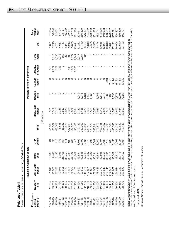|             | $\frac{1}{2}$<br>٦<br>ï<br>, thin nin<br>)<br>)<br>ļ<br>)<br>S |
|-------------|----------------------------------------------------------------|
| J<br>ٳ<br>ı | ימה הלי<br>j<br>J<br>Ï<br>הורחי המה היה ד                      |

|                                    |                   | Payable in Canadian dollars |                                                                     |                     |         |                     |                         | Payable in foreign currencies |                     |                                  |                         |                         |
|------------------------------------|-------------------|-----------------------------|---------------------------------------------------------------------|---------------------|---------|---------------------|-------------------------|-------------------------------|---------------------|----------------------------------|-------------------------|-------------------------|
| Fiscal years<br>March 31<br>ending | Treasury<br>bills | Marketable<br>bonds         | Retail<br>debt                                                      | bonds<br><b>GPP</b> | Total   | Marketable<br>bonds | Canada<br>Bills         | Canada<br>Notes <sup>1</sup>  | drawings<br>Standby | loans<br>Term                    | Total                   | market<br>Total<br>debt |
|                                    |                   |                             |                                                                     |                     |         | (C\$ millions)      |                         |                               |                     |                                  |                         |                         |
| 97-78                              | 11,295            | 21,645                      | 036<br>$\overline{\infty}$                                          |                     | 51,060  | $\frac{1}{2}$       |                         |                               | 850                 |                                  | 1,031                   | 51,664                  |
| 978-79                             | 13,535            | 26,988                      | 443                                                                 | 8                   | 60,062  | 3,319               |                         |                               | 2,782               |                                  | 7,216                   | 66,640                  |
| 979-80                             | 16,325            | 33,387                      | ,182<br>တ်ထံ့ ထံုပ်လံုတွဲ                                           | 113                 | 68,007  | 3,312               |                         |                               | 359                 | 1,115<br>1,030                   | 4,701                   | 72,021                  |
| 980-81                             | 21,770            | 40,976                      | 966                                                                 | 136                 | 78,848  | 3,236               | $\circ$                 |                               | 355                 | 1,046                            | 4,637                   | 83,138                  |
| 981-82                             | 19,375            | 43,605                      | <sup>753</sup> .                                                    | 154                 | 88,242  | 3,867               | O                       | $\circ$                       |                     | 550                              | 4,417                   | 93,167                  |
| 982-83                             | 29,125            | 48,473                      |                                                                     | $\overline{171}$    | 110,522 | 4,872               | O                       |                               |                     | 362                              | 5,234<br>5,214<br>5,053 | 116,562                 |
| 1983-84                            | 41,700            | 56,976                      | 403                                                                 | 189                 | 137,268 | 4,306               | O                       |                               | 510                 | 398                              |                         | 142,901                 |
| 884-85                             | 52,300            | 69,354                      | 167                                                                 | 205                 | 164,026 | 4,972               | O                       |                               | 1,909<br>2,233      |                                  |                         | 172,719                 |
| 985-86                             | 61,950            | 81,163                      | .607                                                                | 445                 | 188,165 | 9,331               |                         |                               |                     |                                  | 13,811                  | 201,229                 |
| 986-87                             | 76,950            | 94,520                      | ,854                                                                | 1,796               | 217,120 | 9,120               | 1,045                   |                               |                     | 1,172<br>2,247<br>2,257<br>2,257 | $12,212$<br>$11,740$    | 228,611                 |
| 1987-88                            | 81,050            | 103,899                     | 558                                                                 | 2,492               | 239,999 | 8,438               | 1,045                   |                               |                     |                                  |                         | 250,809                 |
| 988-89                             | 102,700           | 15,748                      |                                                                     |                     | 268,501 | 6,672               | 1,131                   |                               |                     | 934                              |                         | 276,301                 |
| 989-90                             | 118,550           | 127,681                     | 282'<br>202<br>982<br>2<br>4 4 4 4 4 4 9 9 9 9<br>4 4 4 5 4 9 9 9 9 | 3,005<br>3,072      | 289,510 | 4,364               | 1,446                   |                               |                     |                                  | 8,737<br>5,810          | 294,562<br>323,903      |
| 1990-91                            | 139,150           | 143,601                     |                                                                     | 3,492               | 320,025 | 3,555               | 1,008                   |                               |                     |                                  | 4,563                   |                         |
| 991-92                             | 152,300           | 58,059                      | .031                                                                |                     | 348,891 | 3,535               |                         |                               |                     | $\circ$                          |                         | 351,885                 |
| $ 992 - 93$                        | 162,050           | 178,436                     | ,884                                                                | 3,501<br>3,505      | 377,875 | 2,926               |                         |                               |                     | $\circ$                          | 3,535<br>5,478          | 382,741                 |
| 993-94                             | 166,000           | 203,373                     | ,866<br>SO                                                          | 3,497               | 403,736 | 5,019               | 2,552<br>5,649<br>9,046 |                               | O                   |                                  | 10,668                  | 413,975                 |
| 094-95                             | 164,450           | 225,513                     | ,756<br>$\overline{SO}$                                             | 3,488               | 424,207 | 7,875               |                         |                               | O                   | ○                                | 16,921                  | 440,998                 |
| 995-96                             | 166,100           | 252,411                     | $\overline{8}$                                                      |                     | 452,790 | 9,514               | 6,986                   | $\frac{0}{3}$                 | $\circ$             |                                  | 16,810                  | 469,547                 |
| 996-97                             | 135,400           | 282,059                     | $-511$<br>88                                                        | $3,478$<br>$3,468$  | 453,838 | 12,460              | 8,436                   |                               |                     |                                  | 23,017                  | 476,852                 |
| 1997-98                            | 112,300           | 293,987                     | 302<br>80                                                           | 3,456               | 440,045 | 14,590              | 9,356                   | 2,121<br>3,176                | $\circ$             |                                  | 27,122                  | 467,291                 |
| 998-99                             | 96,950            | 294,914                     | 810                                                                 | 4,063               | 424,737 | 19,655              | 10,171                  |                               | $\circ$             | $\circ$                          | 36,008                  | 460,427                 |
| 1999-00                            | 99,850            | 293,250                     | 115<br>8<br>27<br>28                                                | 3,427               | 423,642 | 21,464              | 6,008<br>7,228          | 6,182<br>5,168<br>5,695       |                     | $\circ$                          | 32,640                  | 456,406                 |
| 2000-01                            | 88,700            | 293,879                     | 457                                                                 | 3,404               | 412,440 | 20,509              |                         |                               |                     | $\circ$                          | 33,432                  | 445,724                 |
|                                    |                   |                             |                                                                     |                     |         |                     |                         |                               |                     |                                  |                         |                         |

Note: Subcategorization of Government of Canada debt is in accordance with Bank of Canada reports, which may vary slightly from Public Accounts categories<br>due to differences in dassification methods. The total outstanding due to differences in classification methods. The total outstanding market debt may not equal the sum of the parts due to slight differences between the Bank of Canada's Note: Subcategorization of Government of Canada debt is in accordance with Bank of Canada reports, which may vary slightly from Public Accounts categories and Department of Finance's numbers.

<sup>1</sup> Includes EMTNs. <sup>1</sup> Includes EMTNs.

Sources: Bank of Canada Review, Department of Finance. Sources: *Bank of Canada Review,* Department of Finance.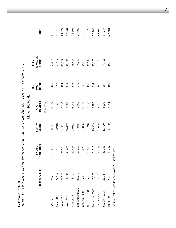| í |
|---|
|   |
|   |
|   |
|   |
|   |
|   |
|   |
|   |
|   |
|   |
|   |
|   |

| Reference Table III |                                                           | Average Weekly Domestic Market Trading in Government of Canada Securities, April 2000 to March 2001 |                  |                  |                         |                              |         |
|---------------------|-----------------------------------------------------------|-----------------------------------------------------------------------------------------------------|------------------|------------------|-------------------------|------------------------------|---------|
|                     |                                                           |                                                                                                     |                  | Marketable bonds |                         |                              |         |
|                     | Treasury bills                                            | and under<br>3 years                                                                                | 3 to 10<br>years | 10 years<br>Over | bonds<br>return<br>Real | marketable<br>bonds<br>Total | Total   |
|                     |                                                           |                                                                                                     |                  | (\$ millions)    |                         |                              |         |
| April 2000          | 24,040                                                    | 20,818                                                                                              | 28,414           | 10,469           | 133                     | 59,834                       | 83,874  |
| May 2000            | 22,164                                                    | 20,815                                                                                              | 28,243           | 9,279            | 317                     | 58,654                       | 80,818  |
| June 2000           | 22,283                                                    | 26,054                                                                                              | 34,561           | 8,010            | 164                     | 68,789                       | 91,072  |
| July 2000           | 18,019                                                    | 21,866                                                                                              | 29,557           | 5,486            | 223                     | 57,132                       | 75,151  |
| August 2000         | 18,091                                                    | 22,424                                                                                              | 29,932           | 6,042            | 106                     | 58,504                       | 76,595  |
| September 2000      | 20,040                                                    | 33,329                                                                                              | 31,958           | 8,542            | <b>240</b>              | 74,069                       | 94,109  |
| October 2000        | 17,699                                                    | 23,674                                                                                              | 27,865           | 9,589            | 721                     | 61,849                       | 79,548  |
| November 2000       | 17,730                                                    | 25,885                                                                                              | 27,710           | 7,853            | 198                     | 61,646                       | 79,376  |
| December 2000       | 20,066                                                    | 21,515                                                                                              | 26,933           | 9,976            | 214                     | 58,638                       | 78,704  |
| January 2001        | 17,006                                                    | 32,129                                                                                              | 32,658           | 9,787            | 187                     | 74,761                       | 91,767  |
| February 2001       | 20,381                                                    | 33,250                                                                                              | 32,399           | 8,250            | 257                     | 74,156                       | 94,537  |
| March 2001          | 23,401                                                    | 39,957                                                                                              | 35,199           | 8,954            | 180                     | 84,290                       | 107,691 |
|                     | Source: Bank of Canada, Banking and Financial Statistics. |                                                                                                     |                  |                  |                         |                              |         |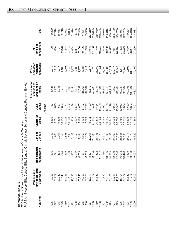| t |
|---|
| ľ |
|   |
|   |
| L |
|   |
|   |
|   |
|   |
|   |
|   |
|   |
|   |
|   |
|   |
|   |

**Reference Table IV**<br>*Distribution of Domestic Holdings of Government of Canada Securities<br>PART A – Treasurv Bills. Canada Bills. Bonds.<sup>1</sup> Canada Savings Bonds* Distribution of Domestic Holdings of Government of Canada Securities

Total<sup>5</sup>  $101,518$ 348,633 47,914 62,710 72,522 83,305 126,446 147,949 185,356 207,250 223,095 245,475 266,628 353,987 349,294 **Year end businesses corporations Canada banks banks**2 **funds institutions**3 **government**4 **Total**5 40,390 56,053 285,815 354,346 090,042 17,932 2,273 2,274 2,274 2,275 8,090 8,090 8,090 8,090 8,090 8,090 8,090 8,090 8,090 8,090 8,090 9,000 1978 20,277 20,277 20,277 20,270 20,200 30,200 20,270 1,000 30,200 20,271 1,000 30 2,271 3,271 20,271 20,271 3 1978 22,740 403 12,001 9,896 1,537 3,738 4,017 1,721 56,053 1979 23,143 374 13,656 10,156 1,684 6,716 4,103 2,878 62,710 1981 33,125 520 17,100 10,003 2,452 10,569 5,342 4,194 83,305 1982 42,320 2,267 15,428 11,233 3,288 13,151 9,177 4,654 101,518 1983 50,306 5,502 16,859 15,107 5,551 17,816 9,984 5,321 126,446 1984 60,748 6,783 17,184 15,164 4,887 24,039 11,978 7,166 147,949 174,551 1986 71,073 6,259 18,374 17,779 7,277 34,887 18,414 11,293 185,356 1987 83,711 8,591 20,201 16,012 6,400 38,870 19,547 13,918 207,250 1988 86,574 8,634 20,606 21,115 7,492 42,460 19,028 17,186 223,095 234,569 699,1989 81,140 23,950,023 23,023,044 48,030,02 23,01,17,023,041,17,023,040 234,569,030,030,030,030, 1990 80,060 11,797 20,325 24,224 10,460 52,984 26,051 19,574 245,475 1991 72,880 11,580 22,370 35,792 12,091 57,846 33,054 21,015 266,628 1992 70,869 13,696 22,607 44,555 12,428 62,042 39,396 20,222 285,815 300,126 1993 61,163 10,359 23,498 60,242 11,229 69,917 45,321 18,397 300,126 326,120 1994 52,751 12,039 24,902 70,063 9,992 78,559 52,847 24,967 326,120 344,730 1995 487,733 12,030 12,048 23,700 10,048 23,590 12,050 12,050 23,000 12,044 59,044 59,044 59,044 59,044 59,044 1996 46,104 10,013 25,556 74,789 10,952 90,231 71,514 24,828 353,987 352,285 1997 39,872 10,470 27,198 67,715 7,054 95,102 79,445 25,429 352,285 1998 37,542 8,525 8,525 8,525 8,525 8,525 27,511 8,525 23,070 350,096 8,525 23,070 23,0896 23,070 349,1294 999,1994,1994 294,318 1084 80,000 57,880 57,880 57,000 20,000 20,000 57,000 57,000 81,318 81,318 91,318 91,318 2000 32,600 9,064 31,726 61,269 3,451 108,771 74,456 27,296 348,6331980 24,253 555 15,858 10,002 2,771 9,274 5,561 4,248 72,522 1985 74,332 7,387 15,668 15,198 5,706 31,068 15,086 10,106 174,551 government<sup>4</sup> levels of **unincorporated Non-financial Bank of Chartered Quasi- and pension financial levels of** 21,015 2,878 4,248 7,166 10,106 11,293 13,918 17,186 17,840 19,574 20,222 18,397 24,828 25,429 27,296 730  $1,014$ 4,194 4,654 24,967 26,324 23,070  $1,721$ 5,321 28,351 ₹ **Persons and companies and other All** institutions<sup>3</sup> and other financial Public 11,978 19,028 79,445 79,895 81,318 74,456 **Life insurance Public** 2,273  $3,114$ 4,017 4,103 5,342 9,177 9,984 15,086  $18,414$ 19,547 23,950 33,054 39,396 52,847 59,044  $71,514$ 5,561 26,051 45,321 Life insurance and pension PART A - Treasury Bills, Canada Bills, Bonds,<sup>1</sup> Canada Savings Bonds and Canada Premium Bonds companies – Treasury Bills, Canada Bills, Bonds,1 Canada Savings Bonds and Canada Premium Bonds 3,738 6,716 10,569 17,816 24,039 31,068 38,870 57,846 62,042 1,436 9,274 34,887 42,460 48,037 52,984 69,917 78,559 95,102 funds 2,271 13,151 87,484 90,231 100,056 108,084 108,771 banks<sup>2</sup> Quasi-716 6,400<br>7,492 10,460 (\$ millions) 1,537 2,452 3,288 4,887 5,706 7,277 9,854 12,428 11,229 9,992 10,947 6,659 1,048 1,684 2,771 5,551  $12,091$ 10,952 7,054 6,884  $3,45$ Chartered<br>banks 17,779 21,115 44,555 60,242 9,896 10,003 11,233 15,164 15,198 16,012 20,804 24,224 35,792 70,063 76,560 74,789 67,715 65,636 57,880 8,666 9,601 10,156 10,002 15,107 61,269 Bank of<br>Canada 20,201 20,325 22,370 23,498 25,556 29,075 8,242 0,268 3,656 5,858  $|7,100$  $5,428$ 6,859 17,184 15,668 18,374 21,133 22,607 24,902 23,590 27,198 31,726 27,911  $12,001$ Non-financial corporations 403 555 6,259 13,696 12,048 10,013 8,525 520 2,267 5,502 6,783 7,387 8,634 11,402 11,797 11,580 10,359 12,039 10,470 9,290 395 374 8,591  $321$ 9,064 unincorporated Persons and businesses 81,549 22,740 24,253 42,320 50,306 60,748 74,332 71,073 86,574 80,060 72,880 70,869 61,163 48,733 17,932 20,277 23,143 33,125 83,711 52,751 46,104 39,872 37,542 33,464 32,600 Year end 1978 1983 1985 1986<br>1987 1988 1989 1990 1992 1993 1995 1996 1998 1999 1976 1979 1982 1984 1994 1997 1980 1981 1991 2000 1977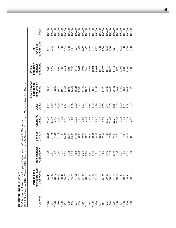Reference Table IV (cont'd) **Reference Table IV** *(cont'd)*

| うりょうろう<br>うこうこ                                          | $\frac{1}{2}$<br>ı<br><b>CON 0211</b><br>ı<br>- 1 chcccc.) てらの 3てらい sそうごうび ?て?() 「?          |
|---------------------------------------------------------|----------------------------------------------------------------------------------------------|
|                                                         | ļ<br>I<br>L<br>Sils<br>$\overline{)}$                                                        |
| :<br>- 22222-1-1<br>בים וכי המוני המוני<br>$\mathbf{r}$ | $\frac{1}{2}$<br>I<br>$\frac{1}{2}$<br> <br> <br> <br> <br> <br> <br>$\frac{1}{1}$<br>ŕ<br>ì |

| Year end | unincorporated<br>Persons and<br>businesses | Non-financial<br>corporations | Canada<br>Bank of    | Chartered<br>banks     | Quasi-<br>banks <sup>2</sup>    | Life insurance<br>and pension<br>companies<br>funds | institutions <sup>3</sup><br>and other<br>financial<br>Public | government <sup>4</sup><br>levels of<br>₹                   | Total <sup>5</sup> |
|----------|---------------------------------------------|-------------------------------|----------------------|------------------------|---------------------------------|-----------------------------------------------------|---------------------------------------------------------------|-------------------------------------------------------------|--------------------|
|          |                                             |                               |                      |                        | $\mathcal{E}$                   |                                                     |                                                               |                                                             |                    |
| 1976     | 44.40                                       | 0.98                          |                      | 21.46                  | 77<br>1.77                      | 3.56                                                | 5.63                                                          | 1.81                                                        | 100.00             |
| 1977     | 42.32                                       |                               |                      | 20.04                  |                                 | 4.74                                                | 6.50                                                          | 2.12                                                        | 100.00             |
| 1978     | 40.57                                       | 0.67<br>0.72                  |                      | 17.65                  |                                 | 6.67                                                | 7.17                                                          | 3.07                                                        | 100.00             |
| 1979     | 36.90                                       | 0.60                          | 2014<br>2014<br>2015 | 16.20                  | 0<br>2<br>2<br>2<br>2<br>2<br>2 | 10.71                                               | 6.54                                                          | 4.59                                                        | 100.00             |
| 1980     | 33.44                                       | 0.77                          | 21.87                | 13.79                  | 3.82                            | 12.79                                               | 7.67                                                          | 5.86                                                        | 100.00             |
| 1981     | 39.76                                       | 0.62                          | 20.53                | 12.01                  | 2.94                            | 12.69                                               | 6.41                                                          | 5.03                                                        | 100.00             |
| 1982     | 41.69                                       | 2.23                          | 15.20                | 11.07                  | 3.24                            | 12.95                                               | 9.04                                                          | 4.58                                                        | 100.00             |
| 1983     | 39.78                                       | 4.35                          | 13.33                | 11.95                  | 4.39                            | 14.09                                               | 7.90                                                          |                                                             | 100.00             |
| 1984     | 41.06                                       |                               | 11.61                | 10.25                  | 3.30                            | 16.25                                               | 8.10                                                          | $4.\overline{3}7$<br>$4.\overline{3}4$<br>$5.\overline{7}9$ | 100.00             |
| 1985     | 42.58                                       | 4.58<br>4.23                  | 8.98                 | 8.71                   | 3.27                            | 17.80                                               | 8.64                                                          |                                                             | 100.00             |
| 1986     | 38.34                                       | 3.38                          | 9.91                 | 9.59                   | 3.93                            | 18.82                                               | 9.93                                                          |                                                             | 100.00             |
| 1987     | 40.39                                       | 4.15                          | 9.75                 | 7.73                   | 3.09                            | 18.76                                               | 9.43                                                          | 00770<br>0770<br>7.70                                       | 100.00             |
| 1988     | 38.81                                       | 3.87                          | 9.24                 | 9.46                   | 3.36                            | 19.03                                               | 8.53                                                          |                                                             | 100.00             |
| 1989     | 34.77                                       | 4.86                          | 9.01                 | 8.87                   | 4.20                            | 20.48                                               | 10.21                                                         |                                                             | 100.00             |
| 1990     | 32.61                                       | 4.81                          | 8.28                 | 9.87                   | 4.26                            | 21.58                                               | 10.61                                                         |                                                             | 100.00             |
| 1991     | 27.33                                       | 4.34<br>4.79                  | 8.39                 | 13.42                  | 4.53                            | 21.70                                               | 12.40                                                         |                                                             | 100.00             |
| 1992     | 24.80                                       |                               | 7.91                 | 15.59                  | 4.35                            | 21.71                                               | 13.78                                                         | $7.97$<br>$7.88$<br>$7.88$<br>$7.67$<br>$7.61$              | 100.00             |
| 1993     | 20.38                                       | 3.45                          | 7.83                 | 20.07                  | 3.74                            | 23.30                                               | 15.10                                                         |                                                             | 100.00             |
| 1994     | 16.18                                       | 3.69                          | 7.64                 | 21.48                  | 3.06                            | 24.09                                               | 16.20                                                         | 7.66                                                        | 100.00             |
| 1995     | 14.14                                       | 3.49                          | 6.84                 | 22.21                  | 3.18                            | 25.38                                               | 17.13                                                         | 7.64                                                        | 100.00             |
| 1996     | 13.02                                       | 2.83                          | 7.22                 | 21.13                  | 3.09                            | 25.49                                               | 20.20                                                         | 7.01                                                        | 100.00             |
| 1997     | 11.32                                       | 2.97                          | 7.72                 | 19.22                  | 2.00                            | 27.00                                               | 22.55                                                         |                                                             | 100.00             |
| 1998     | 10.75                                       | 2.44                          | 7.99                 | 18.79                  | 1.91                            | 28.65                                               | 22.87                                                         | 6.60                                                        | 100.00             |
| 1999     | 9.44                                        | 2.62                          | 8.21                 | 16.33                  | 1.94                            | 30.50                                               | 22.95                                                         | 8.00                                                        | 100.00             |
| 2000     | 9.35                                        | 2.60                          | 0.10                 | - 57<br>$\overline{C}$ | <b>99.0</b>                     | 31.20                                               | 21.36                                                         | 83                                                          | 100.00             |
|          |                                             |                               |                      |                        |                                 |                                                     |                                                               |                                                             |                    |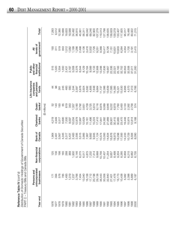| Reference Table IV $\langle \text{cont}' \text{d} \rangle$         |
|--------------------------------------------------------------------|
| Distribution of Domestic Holdings of Government of Canada Securiti |
| PART C-Treasury Bills and Canada Bills                             |

| ear end      | unincorporated<br>Persons and<br>businesses | Non-financial<br>corporations | Bank of<br>Canada | Chartered<br>banks | banks <sup>2</sup><br>Quasi- | Life insurance<br>and pension<br>companies<br>funds | institutions <sup>3</sup><br>and other<br>financial<br>Public | government <sup>4</sup><br>levels of<br>₹ | Total <sup>5</sup> |
|--------------|---------------------------------------------|-------------------------------|-------------------|--------------------|------------------------------|-----------------------------------------------------|---------------------------------------------------------------|-------------------------------------------|--------------------|
|              |                                             |                               |                   |                    | (\$ millions)                |                                                     |                                                               |                                           |                    |
|              |                                             |                               | 1,964             | 4,219              |                              | $\overline{4}$                                      | 515                                                           | 193                                       | 7,283              |
|              |                                             | 86                            | 2,461             | 4,949              | 143                          | 86                                                  | 1,020                                                         | 311                                       | 9,512              |
|              |                                             | 88                            | 3,567             | 5,517              | 193                          | 261                                                 | 1,554                                                         | 519                                       | 12,385             |
|              |                                             | $-65$                         | 4,345             | 6,690              | 89                           | 245                                                 | 1,550                                                         | 843                                       | 14,688             |
|              |                                             | 288                           | 5,317             | 7,500              | 619                          | 460                                                 | 2,431                                                         | 1,512                                     | 19,620             |
|              |                                             | 369                           | 5,431             | 8,597              | 343                          | 560                                                 | 2,187                                                         | 1,082                                     | 19,588             |
|              |                                             |                               | 2,483             | 10,034             | 1,357                        | 1,244                                               | 5,008                                                         | 1,199                                     | 24,492             |
|              |                                             |                               | 2,595             | 12,879             | 3,180                        | 2,587                                               | 5,376                                                         | 1,286                                     | 36,815             |
|              |                                             |                               | 3,515             | 12,997             | 2,792                        | 3,876                                               | 6,544                                                         | 2,498                                     | 45,951             |
|              |                                             |                               | 3,985             | 12,629             | 3,651                        | 3,924                                               | 8,129                                                         | 4,136                                     | 56,311             |
|              |                                             |                               | 7,967             | 15,161             | 4,709                        | 3,592                                               | 10,164                                                        | 3,416                                     | 66,042             |
|              |                                             |                               | 9,682             | 11,498             | 3,725                        | 4,806                                               | 9,589                                                         |                                           | 69,246             |
|              |                                             |                               | 9,945             | 15,224             | 5,614                        | 7,648                                               | 9,133                                                         | 5,002<br>7,726                            | 82,900             |
|              |                                             |                               | 11,124            | 17,410             |                              | 9,664                                               | 12,908                                                        | 9,251                                     | 107,279            |
|              |                                             |                               | 10,574            | 17,841             | 8,116<br>8,976<br>9,089      | 11,737                                              | 13,298                                                        | 9,388                                     | 119,013            |
|              |                                             |                               | 13,093            | 24,382             |                              | 12,386                                              | 17,636                                                        | 10,417                                    | 127,798            |
|              |                                             |                               | 14,634            | 27,989             | 9,646                        | 13,639                                              | 19,907                                                        | 8,726                                     | 138,635            |
|              |                                             |                               | 16,876            | 29,901             |                              | 17,085                                              | 22,336                                                        | 7,151                                     | 139,629            |
|              |                                             |                               | 18,973            | 30,415             | 9,222<br>6,879               | 14,385                                              | 22,021                                                        | 10,631                                    | 129,279            |
|              |                                             |                               | 18,298            | 30,865             | 7,760                        | 15,321                                              | 25,183                                                        | 10,603                                    | 133,407            |
| 1996<br>1997 |                                             |                               | 17,593            | 23,470             | 5,493                        | 13,530                                              | 32,752                                                        | 6,264                                     | 17,825             |
|              |                                             |                               | 14,233            | 19,448             | 3,133                        | 8,956                                               | 32,653                                                        | 4,354                                     | 95,017             |
| 998          |                                             |                               | 10,729            | 15,974             | 2,392                        | 4,570                                               | 32,508                                                        | 1,700                                     | 76,486             |
| 1999<br>2000 | 2,398<br>5,889<br>6,187                     |                               | 8,584             | 12,814             | 2,758                        | 7,013                                               | 37,011                                                        | $3,191$<br>$2,415$                        | 83,922             |
|              |                                             |                               | 8,090             | 9,188              | 574                          | 6,766                                               | 31,260                                                        |                                           | 71,215             |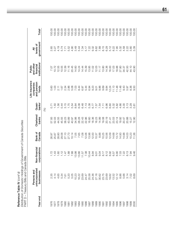Distribution of Domestic Holdings of Government of Canada Securities *Distribution of Domestic Holdings of Government of Canada Securities* Reference Table IV (cont'd) **Reference Table IV** *(cont'd)*

Total<sup>5</sup> 00.00 00.00  $00.00$  $00.00$  $00.00$ 100.00  $00.00$ 100.00 00.00 100.00 00.00 100.00 00.00 00.00 00.00 100.00 00.00 00.00 00.00 00.00 00.00 00.00 00.00 00.00  $00.00$ **Year end businesses corporations Canada banks banks**2 **funds institutions**3 **government**4 **Total**5 1976 2.35 1.72 26.97 57.93 0.71 0.60 7.07 2.65 100.00 1977 4.14 1.43 25.87 52.03 1.50 1.03 10.72 3.27 100.00 1978 4.65 1.60 28.80 44.55 1.56 2.11 12.55 4.19 100.00 1979 5.34 1.12 29.58 45.55 0.44 1.67 10.55 5.74 100.00 1980 12.34 1.47 2.34 1.47 2.34 3.34 12.39 3.34 12.39 12.39 12.39 12.39 12.39 12.34 12.1 1981 5.20 1.88 27.73 43.89 1.75 2.86 11.16 5.52 100.00 1982 5.05 7.88 10.14 40.97 5.54 5.08 20.45 4.90 100.00 1983 10.23 13.98 7.05 34.98 8.64 7.03 14.60 3.49 100.00 1984 16.22 16.22 16.56 28.28 6.08 6.08 7.66 7.66 28.28 8.44 14.24 5.44 5.44 5.44 5.44 14.24 5.44 5.44 14.24 14.24 5.44 14.24 14.24 14.24 14.24 14.24 14.24 14.24 14.24 14.25 15.44 14.25 15.44 15.44 15.44 15.44 15.44 15.44 15 1985 23.69 14.44 14.44 14.44 14.44 14.44 14.44 14.44 14.44 14.44 14.44 14.44 14.44 14.44 14.44 14.44 14.44 14.4 1986 24.47 7.38 12.06 22.96 7.13 5.44 15.39 5.17 100.00 1987 25.58 10.44 13.98 16.60 5.38 6.94 13.85 7.22 100.00 1988 24.36 8.94 12.00 18.36 6.77 9.23 11.02 9.32 100.00 1989 27.16 9.01 10.37 16.23 7.57 9.01 12.03 8.62 100.00 1990 30.62 9.04 8.88 14.99 7.54 9.86 11.17 7.89 100.00 1991 23.75 8.17 10.25 19.08 7.11 9.69 13.80 8.15 100.00 1992 23.69 8.12 10.56 20.19 6.96 9.84 14.36 6.29 100.00 19.03 19.62 12.24 12.24 12.24 12.24 16.00 6.60 16.00 16.00 5.00 6.92 12.24 16.00 5.00 16.00 16.00 16.00 16.00 1 1994 13.52 6.57 14.68 23.53 5.32 11.13 17.03 8.22 100.00 1995 12.12 6.90 13.72 23.14 5.82 11.48 18.88 7.95 100.00 1996 8.86 8.86 14.48 11.48 19.93 19.93 19.93 19.93 19.93 19.93 10.00 10.00 10.00 10.00 10.00 10.00 1 00.001 5.458 5.47 5.22 14.98 3.30 3.30 3.43 34.37 34.38 34.37 34.37 34.38 34.38 34.38 34.38 1998 3.14 3.14 8.13 8.13 14.03 20.88 3.13 5.13 8.13 5.13 3.14 8.13 5.13 14.000 001001 2.02 101144 3.29 8.36 8.36 2.29 2.201 2.201 2.201 2.201 2.201 2.201 2.201 2.201 2.201 2.201 2.201 2.201 2000 8.69 9.69 9.69 12.90 12.90 12.90 12.90 12.90 12.90 12.90 12.90 12.90 12.90 12.90 12.90 12.90 12.90 12.90 1 government<sup>4</sup> levels of **unincorporated Non-financial Bank of Chartered Quasi- and pension financial levels of** 8.15<br>6.29 5.12 7.95 2.65 3.27 4.19 5.74  $7.71$ <br>5.52<br>4.90 3.49 5.44 7.34 5.17 7.22  $3.32$ <br> $0.62$ <br> $7.89$ 8.22 5.32 ₹ **Persons and companies and other All** institutions<sup>3</sup> and other<br>financial Public  $11.16$ 20.45 14.60 14.44 15.39 13.85  $11.02$ 12.03  $11.17$ 13.80 14.36 16.00 17.03 18.88 27.80 42.50 44.10 43.90 **Life insurance Public** 7.07  $10.72$ 12.55 10.55 12.39 14.24 34.37 Life insurance and pension companies 2.86 5.08 7.03 6.97 9.23  $0.86$ 9.69 9.84 12.24  $11.13$  $11.48$ 11.48  $9.43$ 5.97 8.36<br>9.50  $1.03$  $2.11$ 1.67 2.34 8.44 5.44 6.94 funds  $0.60$ Quasi-<br>banks<sup>2</sup> 1.56 1.75 6.48 7.13 5.38 0.44  $3.15$ 5.54 8.64 6.08 6.77 7.57 7.54 6.96 6.60 5.32 5.82 4.66 3.30  $3.13$  $7.11$ 3.29  $0.71$ 1.50  $0.81$ (%) Chartered banks 19.08 20.19 57.93 52.03 44.55 45.55 38.23 43.89 40.97 34.98 28.28 22.43 22.96 16.60 18.36 16.23 14.99  $21.41$ 23.53 23.14 19.92 20.47 20.88 15.27 12.90 Bank of<br>Canada 7.05 7.65 7.08 12.06 13.98  $12.00$ 8.88 10.25 10.56 12.09 14.68 13.72 14.93 14.98 14.03 10.23 11.36 26.97 25.87 28.80 29.58 27.10 27.73  $10.14$ 10.37 Non-financial corporations 1.88 7.88  $11.57$ <br>7.38 8.17  $8.12$ 6.92 6.57 6.90 7.03 7.22  $8.13$ 1.72 1.43 1.60  $1.12$  $1.47$ 13.98 13.66  $10.44$ 8.94  $9.01$  $9.04$ 7.94 9.46 PART D - Treasury Bills and Canada Bills PART D – Treasury Bills and Canada Bills unincorporated Persons and businesses 4.14 5.34 5.20 5.05 10.23 16.22 23.69 24.47 25.58 24.36 27.16 30.62 23.75 23.69 19.62 13.52  $12.12$ 8.86 5.66  $3.14$ 2.35 4.65 7.61 7.02<br>8.69 Year end 1985 1988 1989 1993 1995 1996 1998 1978 1979 1982 1983 1984 1986 1987 1990 1992 1994 1997 1999 1976 1977 1980 1981 1991 2000 **61**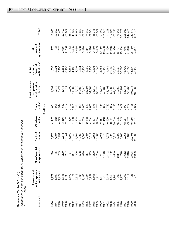| Reference Table IV $\langle \text{cont}' \text{d} \rangle$         |
|--------------------------------------------------------------------|
| Distribution of Domestic Holdings of Government of Canada Securiti |
| PART E – Bonds1                                                    |

| Year end | unincorporated<br>Persons and<br>businesses | corporations<br>inancial<br>F-noN      | Canada<br>Bank of | Chartered<br>banks | banks <sup>2</sup><br>Quasi- | Life insurance<br>and pension<br>companies<br>funds | institutions <sup>3</sup><br>and other<br>financial<br>Public | government <sup>4</sup><br>levels of<br>₹ | Total <sup>5</sup> |
|----------|---------------------------------------------|----------------------------------------|-------------------|--------------------|------------------------------|-----------------------------------------------------|---------------------------------------------------------------|-------------------------------------------|--------------------|
|          |                                             |                                        |                   |                    | (\$ millions)                |                                                     |                                                               |                                           |                    |
| 976      | 1,277                                       | 270                                    | 6,278             | 4,447              | 664                          | 1,392                                               | 1,758                                                         | 537                                       | 16,623             |
| 977      | 1,690                                       | 185                                    | 7,807             | 4,652              | 905                          | 2,173                                               | 2,094                                                         | 703                                       | 20,209             |
| 978      | 1,929                                       | 205                                    | 8,434             | 4,379              | 1,344                        | 3,477                                               | 2,463                                                         | 1,202                                     | 23,433             |
| 979      | 3,736                                       | 209                                    | 9,311             | 3,466              | 1,619                        | 6,471                                               | 2,553                                                         | 2,035                                     | 29,400             |
| 080      | 4,890                                       | 267                                    | 10,541            | 2,502              | 2,152                        | 8,814                                               | 3,130                                                         | 2,736                                     | 35,032             |
| 1981     | 6,759                                       | $-151$                                 | 11,669            | 1,406              | 2,109                        | 10,009                                              | 3,155                                                         | 3,112                                     | 38,370             |
| 1982     | 7,374                                       | 337                                    | 12,945            | 1,199              | 1,931                        | 11,907                                              | 4,169                                                         | 3,455                                     | 43,317             |
| 1983     | 6,813                                       | 356                                    | 14,264            | 2,228              | 2,371                        | 15,229                                              | 4,608                                                         | 4,035                                     | 49,904             |
| 1984     | 9,906                                       | 508                                    | 13,669            | 2,167              | 2,095                        | 20,163                                              | 5,434                                                         | 4,668                                     | 58,610             |
| 985      | 11,483                                      | 870                                    | 11,683            | 2,569              | 2,055                        | 27,144                                              | 6,957                                                         | 5,970                                     | 68,731             |
| 1986     | 9,827                                       | 384                                    | 10,407            | 2,618              | 2,568                        | 31,295                                              | 8,250                                                         | 7,877                                     | 74,226             |
| 1987     | 10,959                                      | ,359                                   | 10,519            | 4,514              | 2,675                        | 34,064                                              | 9,958                                                         | 8,916                                     | 82,964             |
| 1988     | 11,501                                      | <b>220</b>                             | 10,661            | 5,891              | 1,878                        | 34,812                                              | 9,895                                                         | 9,460                                     | 85,318             |
| 1989     | 8,713                                       | .734                                   | 10,009            | 3,394              | 1,738                        | 38,373                                              | 11,042                                                        | 8,589                                     | 83,592             |
| 0661     | 8,174                                       | 041                                    | 9,751             | 6,383              | 1,484                        | 41,247                                              | 12,753                                                        | 10,186                                    | 91,019             |
| 199      | $5,215$<br>2,147                            | ,143                                   | 9,277             | 11,410             | 3,002                        | 45,460                                              | 15,418                                                        | 10,598                                    | 101,523            |
| 1992     |                                             | ,442<br>$\mathbf{\Omega}$              | 7,973             | 16,566             | 2,782                        | 48,403                                              | 19,489                                                        | 11,496                                    | 111,298            |
| 1993     | 1,140                                       | 702                                    | 6,622             | 30,341             | 2,007                        | 52,832                                              | 22,985                                                        | 11,246                                    | 127,875            |
| 1994     | 1,764                                       | 540<br>က                               | 5,929             | 39,648             | 3,113                        | 64,174                                              | 30,826                                                        | 14,336                                    | 163,330            |
| 1995     | 202                                         | 844                                    | 5,292             | 45,695             | 3,187                        | 72,163                                              | 33,861                                                        | 15,721                                    | 178,965            |
| 1996     | 1,276                                       | ,728                                   | 7,963             | 51,319             | 5,459                        | 76,701                                              | 38,762                                                        | 18,564                                    | 201,772            |
| 1997     | 3,202                                       | 612<br>$\alpha - \alpha \alpha \alpha$ | 12,965            | 48,267             | 3,921                        | 86,146                                              | 46,792                                                        | 21,075                                    | 225,980            |
| 1998     | 6,814                                       | 310                                    | 17,182            | 49,662             | 4,267                        | 95,486                                              | 47,387                                                        | 21,370                                    | 244,478            |
| 1999     | 8                                           | 628                                    | 20,491            | 45,066             | 4,126                        | 101,071                                             | 44,307                                                        | 25,160                                    | 242,877            |
| 2000     | 775                                         | 329                                    | 23,636            | 52,081             | 2,877                        | 102,005                                             | 43,196                                                        | 24,881                                    | 251,780            |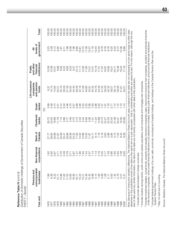Distribution of Domestic Holdings of Government of Canada Securities *Distribution of Domestic Holdings of Government of Canada Securities* Reference Table IV (cont'd) **Reference Table IV** *(cont'd)* PART F - Bonds<sup>1</sup> PART F – Bonds1

Total<sup>5</sup> 100.00 100.00 100.00 100.00 100.00 100.00 100.00 100.00 100.00 100.00 100.00 100.00 100.00 100.00 100.00 100.00 100.00 100.00 100.00 100.00 100.00 00.00 100.00 100.00 00.00 **Year end businesses corporations Canada banks banks**2 **funds institutions**3 **government**4 **Total**5 1976 1976 1.68 1.62 3.37 3.99 3.99 3.37 1.62 3.37 10.58 3.23 10.58 3.23 1977 8.36 0.92 38.63 23.02 4.48 10.75 10.36 3.48 100.00 1978 8.23 14.84 14.84 14.84 14.84 14.84 14.84 14.84 14.84 14.84 14.84 14.84 14.84 14.84 14.84 14.84 14.84 14.8 1979 12.71 12.71 0.71 5.51 5.51 5.51 5.51 5.51 0.72.01 8.68 6.68 6.68 1980 13.96 13.96 13.96 14.14 6.14 12.14 6.16 10.00 10.00 10.00 10.00 10.00 10.00 0.001 17.62 8.22 8.22 8.32 8.32 8.32 8.324 8.322 8.322 8.322 8.322 8.324 8.41 1982 17.02 17.02 17.02 2.46 4.46 2.77 2.78 0.78 0.78 100.00 100.00 100.00 100.00 1983 13.65 0.71 28.58 4.46 4.75 30.52 9.23 8.09 100.00 0.001 23.41 34.41 34.41 34.41 34.41 34.41 34.41 34.41 34.41 34.41 34.41 34.41 34.41 34.41 34.41 34.41 34.41 34 1985 16.71 16.71 16.71 16.71 16.71 17.27 17.27 17.27 10.12 10.12 10.12 10.12 10.12 1986 13.24 13.24 1.86 1.402 1.405 1.46 3.46 1.42.16 1.11 1.11 1.61 10.61 1987 12.21 13.21 1.64 1.64 1.64 1.64 1.64 1.64 1.654 1.64 1.64 1.654 1.654 1.654 1.654 1.654 1.654 1.654 1.75 1988 13.48 1.43 12.50 6.90 2.20 40.80 11.60 11.09 100.00 1989 10.42 2.07 11.97 4.06 2.08 45.91 13.21 10.27 100.00 00.001 9.01 11.14 10.14 10.23 10.93 10.41 10.12 10.12 10.12 11.11 11.11 11.11 11.14 11.14 11.14 11.1 00.00.00.19 1.14 1.14 1.14 1.13 1.13 1.13 1.13 1.14 1.128 1.14 1.128 1.14 1.128 1.14 1.128 1.14 1.12 1992 1.93 2.19 7.16 14.88 2.50 43.49 17.51 10.33 100.00 0.001 0.89 0.89 0.99 0.55 5.18 1.67 1.67 5.18 1.67 1.72 17.97 8.79 100.00 00.001 2.17 2.1912 2.17 2.17 2.17 2.17 2.17 2.17 3.89 19.89 19.89 19.89 19.89 1.91 2.17 2.17 2.17 2.1 1995 0.11 0.11 0.11 0.96 2.96 2.553 1.78 1.78 1.8.92 18.92 8.78 100.00 1996 0.63 0.86 3.95 25.43 2.71 38.01 19.21 9.20 100.00 00.001 1.42 1.74 1.74 5.74 5.74 5.75 1.74 5.72 1.74 5.72 1.74 5.72 1.74 5.72 1.74 5.74 5.75 1.74 5.74 5.75 1.7 1998 2.79 2.79 2.79 2.998 8.998 2.79 2.75 3.74 1.75 3.79 3.898 8.74 1.75 3.74 8.74 1.75 3.88 8.74 1.75 3.88 8. 00.001 0.03.01 19.24 19.24 19.24 19.24 19.24 19.24 19.24 19.24 10.44 10.26 10.26 10.36 10.36 10.36 1 2000 0.32 2000 0.32 2000 0.32 2000 0.32 2000 0.32 2000 0.32 2000 0.32 2000 0.32 2000 0.32 2000 0.32 2000 0.32 2 Note: Because of timing and valuation differences, The National Balance Sheet Accounts data contained in this table are not necessarily on the same basis as other data government<sup>4</sup> levels of **unified and analyzing and analyzing and <b>Bank of Bank of Bank of Bank of Bank of Bank of Bank of Bank** of 8.78 3.23  $3.48$ 5.13 6.92 7.98 8.09 7.96 8.69 10.75 11.09  $11.19$ 10.44<br>10.33 8.79 8.78 9.20 9.33 0.36 9.88  $7.81$  $8.11$  $10.61$ 10.27 8.74 ₹ **Persons and companies and other All** institutions<sup>®</sup> and other financial Public 15.19 18.24<br>17.16 **Life insurance Public** 10.58<br>10.36 8.68 8.93 8.22 9.62 9.23  $9.27$  $10.12$ 12.00  $11.60$ 17.97 18.87 18.92 19.38  $10.51$  $11.11$  $13.21$ 14.01  $17.51$  $19.21$ 20.71 Life insurance and pension companies 10.75 25.16 26.09 27.49 30.52 34.40 39.49 42.16 41.06 40.80 45.32 44.78 43.49 41.32 39.29 40.32 38.12 14.84 39.06 funds 8.37 22.01 45.91 38.01 41.61<br>40.51 Quasibanks<sup>2</sup> 3.99 4.48 5.74 5.51  $6.14$  $3.46$ <br> $3.22$  $2.88$ <br>  $2.83$ <br>  $1.63$ 1.78 2.71  $1.74$ 1.75  $1.70$ (%) Chartered 4.46 3.70 3.74 3.53 6.90 4.06 14.88 26.75 23.02 18.69  $11.79$ 7.14 3.66 2.77 5.44 7.01 11.24 23.73 24.27 25.53 25.43 21.36 18.56<br>20.69 banks 20.31 Bank of<br>Canada 11.97  $9.14$ 7.16 5.18 3.63 2.96 3.95 37.77 38.63 35.99  $31.67$ 30.09  $30.41$ 29.88 28.58 23.32 17.00 14.02 12.68 12.50 5.74 7.03 8.44 9.39  $10.71$ corporations Non-financial 88<br>87<br>0000<br>0000  $7.86$ <br> $7.86$ <br> $7.84$  $1.43$ <br>2.07  $1.14$  $1.13$ <br>2.19 0.55  $2.17$ 1.59 0.86  $1.62$ <br>0.92 0.87 0.71 0.76 1.60 0.94  $0.08$ 0.93 unincorporated Persons and businesses 7.68<br>8.36 8.23  $12.71$ 13.96 17.02 13.65 16.90 13.24 13.48  $10.42$ 8.98 5.14 1.93 0.89 1.08 0.63  $1.42$ 2.79 17.62  $16.71$  $13.21$  $0.11$  $0.31$ Year end 1978 1979 983 1985 1986 1987 1988 1989 0661 992 993 1994 1995 996 997 1998 999 2000 086 1982 1984 **1661** 976 977  $981$ 

Note: Because of timing and valuation differences, *The National Balance Sheet Accounts* data contained in this table are not necessarily on the same basis as other data elsewhere in this publication (most of the data in this report are on a par-value basis - that is, outstanding securities are valued at par). For this reason, although the two elsewhere in this publication (most of the data in this report are on a par-value basis – that is, outstanding securities are valued at par). For this reason, although the two sets of data yield very similar information, the data in this table are not strictly comparable with other data in this publication sets of data yield very similar information, the data in this table are not strictly comparable with other data in this publication.

1 Includes bonds denominated in foreign currencies. <sup>1</sup> Includes bonds denominated in foreign currencies. <sup>2</sup> Includes Quebec savings banks, credit unions and caisses populaires, trust companies and mortgage loan companies. Includes Quebec savings banks, credit unions and caisses populaires, trust companies and mortgage loan companies.

- <sup>3</sup> Includes investment dealers, mutual funds, property and casualty insurance companies, sales, finance and consumer loan companies, accident and sickness branches Includes investment dealers, mutual funds, property and casualty insurance companies, sales, finance and consumer loan companies, accident and sickness branches of life insurance companies, other private financial institutions (not elsewhere included), federal public financial institutions, and provincial financial institutions. of life insurance companies, other private financial institutions (not elsewhere included), federal public financial institutions, and provincial financial institutions
- 4 Includes federal government holdings of its own debt, provincial, municipal and hospital holdings, and holdings of the Canada Pension Plan and the Includes federal government holdings of its own debt, provincial, municipal and hospital holdings, and holdings of the Canada Pension Plan and the Quebec Pension Plan. Quebec Pension Plan.
- <sup>5</sup> May not add due to rounding. May not add due to rounding.

Source: Statistics Canada, The National Balance Sheet Accounts. Source: Statistics Canada, *The National Balance Sheet Accounts.*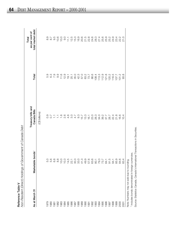|                                   | י שיש שאו ועשו בישי<br>ļ<br>t) Holdings of Government of Canada De<br>١<br>niron. |
|-----------------------------------|-----------------------------------------------------------------------------------|
| Velde Table<br>$\frac{D}{D}$<br>C | こくい<br>č<br>֪֦֪֦֧֧֚֚֚֚֚֝֝֝֝֝֝֝֝֬֝֓֝֝֬֝֓֝֬֝֓֟<br>i                                 |

| As at March 31 | onds <sup>1</sup><br>Marketable b                                                                                                                                                                                                                                                                                                                                                                                                                                                                                                                                                                                                                 | Treasury bills and<br>Canada Bills                 | Total   | total market debt<br>as per cent of<br>Total |
|----------------|---------------------------------------------------------------------------------------------------------------------------------------------------------------------------------------------------------------------------------------------------------------------------------------------------------------------------------------------------------------------------------------------------------------------------------------------------------------------------------------------------------------------------------------------------------------------------------------------------------------------------------------------------|----------------------------------------------------|---------|----------------------------------------------|
|                |                                                                                                                                                                                                                                                                                                                                                                                                                                                                                                                                                                                                                                                   | (C\$ billions)                                     |         |                                              |
|                | 5.0                                                                                                                                                                                                                                                                                                                                                                                                                                                                                                                                                                                                                                               |                                                    | 5.9     | 8.9                                          |
|                | 5.G                                                                                                                                                                                                                                                                                                                                                                                                                                                                                                                                                                                                                                               | 9.7<br>0.7                                         |         |                                              |
|                | 6.8                                                                                                                                                                                                                                                                                                                                                                                                                                                                                                                                                                                                                                               | $\frac{1}{2}$                                      | 6.9     | $8.7$<br>$9.5$                               |
|                | $\frac{8}{8}$                                                                                                                                                                                                                                                                                                                                                                                                                                                                                                                                                                                                                                     | $\overline{\div}$                                  | 9.<br>0 | 10.6                                         |
|                | 10.0                                                                                                                                                                                                                                                                                                                                                                                                                                                                                                                                                                                                                                              |                                                    | 11.6    | 10.0                                         |
|                | $10.3$<br>$14.5$                                                                                                                                                                                                                                                                                                                                                                                                                                                                                                                                                                                                                                  | $\frac{10}{20}$                                    | 12.9    | $\frac{0}{9}$                                |
|                |                                                                                                                                                                                                                                                                                                                                                                                                                                                                                                                                                                                                                                                   | 4.6                                                | 19.1    | 111                                          |
|                |                                                                                                                                                                                                                                                                                                                                                                                                                                                                                                                                                                                                                                                   | S.O                                                | 25.1    |                                              |
|                |                                                                                                                                                                                                                                                                                                                                                                                                                                                                                                                                                                                                                                                   | 4.7                                                | 35.0    |                                              |
|                |                                                                                                                                                                                                                                                                                                                                                                                                                                                                                                                                                                                                                                                   | .<br>ඉ                                             |         |                                              |
|                |                                                                                                                                                                                                                                                                                                                                                                                                                                                                                                                                                                                                                                                   | 15.7                                               |         |                                              |
|                |                                                                                                                                                                                                                                                                                                                                                                                                                                                                                                                                                                                                                                                   | 13.3                                               |         |                                              |
|                |                                                                                                                                                                                                                                                                                                                                                                                                                                                                                                                                                                                                                                                   | 16.1                                               |         |                                              |
|                |                                                                                                                                                                                                                                                                                                                                                                                                                                                                                                                                                                                                                                                   |                                                    | 86.6    |                                              |
|                |                                                                                                                                                                                                                                                                                                                                                                                                                                                                                                                                                                                                                                                   |                                                    | 108.4   |                                              |
|                |                                                                                                                                                                                                                                                                                                                                                                                                                                                                                                                                                                                                                                                   |                                                    | 113.3   |                                              |
|                |                                                                                                                                                                                                                                                                                                                                                                                                                                                                                                                                                                                                                                                   |                                                    | 112.9   |                                              |
|                |                                                                                                                                                                                                                                                                                                                                                                                                                                                                                                                                                                                                                                                   |                                                    | 121.8   |                                              |
|                | $\begin{array}{l} \pi \ \mathrel{\ddot{\alpha}} \mathrel{\dot{\alpha}} \mathrel{\dot{\alpha}} \mathrel{\dot{\alpha}} \mathrel{\dot{\alpha}} \mathrel{\dot{\alpha}} \mathrel{\dot{\alpha}} \mathrel{\dot{\alpha}} \mathrel{\dot{\alpha}} \mathrel{\dot{\alpha}} \mathrel{\dot{\alpha}} \mathrel{\dot{\alpha}} \mathrel{\dot{\alpha}} \mathrel{\dot{\alpha}} \mathrel{\dot{\alpha}} \mathrel{\dot{\alpha}} \mathrel{\dot{\alpha}} \mathrel{\dot{\alpha}} \mathrel{\dot{\alpha}} \mathrel{\dot{\alpha}} \mathrel{\dot{\alpha}} \mathrel{\dot{\alpha}} \mathrel{\dot{\alpha}} \mathrel{\dot{\alpha}} \mathrel{\dot{\alpha}} \mathrel{\dot{\alpha}} \$ | 0. 0. 0. 0. 1. 1. 4. 9.<br>8. 8. 9. 9. 9. 9. 9. 7. | 120.2   | ちちののことのこれのことのかからのことのことのことのことのことのことからかかいか。    |
|                |                                                                                                                                                                                                                                                                                                                                                                                                                                                                                                                                                                                                                                                   |                                                    | 116.5   |                                              |
|                | 85.9                                                                                                                                                                                                                                                                                                                                                                                                                                                                                                                                                                                                                                              |                                                    | 107.7   | 23.4                                         |
|                | 84.6                                                                                                                                                                                                                                                                                                                                                                                                                                                                                                                                                                                                                                              | 16.6                                               | 101.2   | 22.2                                         |
|                | 83.4                                                                                                                                                                                                                                                                                                                                                                                                                                                                                                                                                                                                                                              | 10.4                                               | 93.8    | 21.0                                         |
|                |                                                                                                                                                                                                                                                                                                                                                                                                                                                                                                                                                                                                                                                   |                                                    |         |                                              |

<sup>1</sup> Includes bonds denominated in foreign currencies. <sup>1</sup> Includes bonds denominated in foreign currencies. Note: Numbers may not add due to rounding. Note: Numbers may not add due to rounding.

Source: Statistics Canada, Canada's International Transactions in Securities. Source: Statistics Canada, *Canada's International Transactions in Securities.*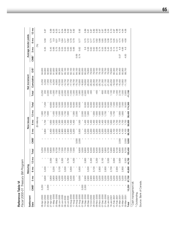| Fiscal 2000-01 Treasury Bill Program<br>Reference Table VI |                  |        |                 |                 |         |                  |         |                      |                 |          |           |               |                 |                  |                |                       |                 |
|------------------------------------------------------------|------------------|--------|-----------------|-----------------|---------|------------------|---------|----------------------|-----------------|----------|-----------|---------------|-----------------|------------------|----------------|-----------------------|-----------------|
| Settlement                                                 |                  |        | Maturing        |                 |         |                  |         | New issues           |                 |          |           | Net increment |                 |                  |                | Average tender yields |                 |
| Date                                                       | CMB <sup>1</sup> | g<br>က | 6 <sub>mo</sub> | $12 \text{ mo}$ | Total   | CMB <sup>1</sup> | eg<br>ო | 6 <sub>mo</sub>      | $12 \text{ mo}$ | Total    | Total     | Cumulative    | OS <sup>2</sup> | CMB <sup>1</sup> | $3 \text{ mo}$ | 6 <sub>mo</sub>       | $12 \text{ mo}$ |
|                                                            |                  |        |                 |                 |         |                  |         | millions<br>$\oplus$ |                 |          |           |               |                 |                  | (%)            |                       |                 |
| 06-Apr-2000                                                | 5,250            |        |                 |                 | 5,250   |                  |         | л.                   | 900             | J.       | $-5,250$  | $-5,250$      | 94,600          |                  |                |                       |                 |
| 13-Apr-2000                                                |                  | 3,600  | 3,400           |                 | 7,000   |                  | 3,800   | ,700                 | 00/11           | 7,200    | 200       | $-5,050$      | 94,800          |                  | 5.35           | 5.58                  | 5.87            |
| 20-Apr-2000                                                | 2,000            |        |                 |                 | 2,000   |                  |         |                      | ,600            |          | $-2,000$  | $-7,050$      | 92,800          |                  |                |                       |                 |
| 27-Apr-2000                                                |                  | 3,800  |                 | 3,000           | 6,800   |                  | 3,400   | 1,600                |                 | $-6,600$ | $-200$    | $-7,250$      | 92,600          |                  | 5.45           | 5.74                  | 5.39            |
| 11-May-2000                                                |                  | 3,800  | 3,200           |                 | 7,000   |                  | 3,000   | 1,500                | 400             | 6,000    | $-1,000$  | $-8,250$      | 91,600          |                  | 5.66           | 5.9                   | 6.25            |
| 25-May-2000                                                |                  | 3,800  |                 | 2,900           | 6,700   |                  | 3,000   | 1,500                | ,400            | 6,000    | $-700$    | $-8,950$      | 90,900          |                  | 5.75           | 6.01                  | 6.33            |
| 08-Jun-2000                                                |                  | 4,000  | 3,100           |                 | 7,100   |                  | 2,900   | $\frac{300}{2}$      | 500             | 5,500    | $-1,600$  | $-10,550$     | 89,300          |                  | 5.64           | 5.8                   | 6.11            |
| 22-Jun-2000                                                |                  | 4,200  |                 | 3,300           | 7,500   |                  | 2,900   | .300                 | ,600            | 5,500    | $-2,000$  | $-12,550$     | 87,300          |                  | 5.55           | 5.84                  | 6.04            |
| 06-Jul-2000                                                |                  | 4,200  | 3,500           |                 | 7,700   |                  | 2,900   | $\frac{300}{2}$      | ,700            | 5,500    | $-2,200$  | $-14,750$     | 85,100          |                  | 5.55           | 5.77                  | 5.99            |
| 20-Jul-2000                                                |                  | 3,800  |                 | 3,700           | 7,500   |                  | 2,900   | $-300$               | $-800$          | 5,500    | $-2,000$  | $-16,750$     | 83,100          |                  | 5.63           | 5.82                  | 6.02            |
| 03-Aug-2000                                                |                  | 3,400  | 3,600           |                 | 7,000   |                  | 3,200   | 1,400                |                 | 6,000    | $-1,000$  | $-17,750$     | 82,100          |                  | 5.65           | 5.79                  | 5.97            |
| 17-Aug-2000                                                |                  | 3,000  |                 | 4,000           | 7,000   |                  | 3,200   | 1,400                | 1,900           | 6,000    | $-1,000$  | $-18,750$     | 81,100          |                  | 5.66           | 57.79                 | 5.92            |
| 24-Aug-2000                                                |                  |        |                 |                 |         | 3,000            |         |                      | 2,000           | 3,000    | 3,000     | $-15,750$     | 84,100          | 5.69             |                |                       |                 |
| 31-Aug-2000                                                |                  | 3,000  | 3,600           |                 | 6,600   | 2,000            | 3,500   | 1,500                |                 | 8,500    | 1,900     | $-13,850$     | 86,000          | 5.74             | 5.62           | 5.77                  | 5.92            |
| 07-Sep-2000                                                | 3,000            |        |                 |                 | 3,000   |                  |         |                      | 2,000           |          | $-3,000$  | $-16,850$     | 83,000          |                  |                |                       |                 |
| 14-Sep-2000                                                | 2,000            | 2,900  |                 | 3,900           | 8,800   |                  | 3,200   | 1,400                | 2,000           | 6,000    | $-2,800$  | $-19,650$     | 80,200          |                  | 5.6            | 5.75                  | 5.89            |
| 28-Sep-2000                                                |                  | 2,900  | 3,500           |                 | 6,400   |                  | 3,200   | 1,400                | 1,900           | 6,000    | $-400$    | $-20,050$     | 79,800          |                  | 5.56           | 5.72                  | 5.81            |
| 12-Oct-2000                                                |                  | 2,900  |                 | 3,400           | 6,300   |                  | 3,200   | 1,400                |                 | 6,000    | -300      | $-20,350$     | 79,500          |                  | 5.62           | 5.77                  | 5.87            |
| 26-Oct-2000                                                |                  | 2,900  | 3,100           |                 | 6,000   |                  | 3,200   | 1,400                | 1,800           | 6,000    |           | $-20,350$     | 79,500          |                  | 5.62           | 5.74                  | 5.82            |
| 09-Nov-2000                                                |                  | 3,200  |                 | 3,200           | 6,400   |                  | 3,200   | 1,400                | ,600            | 6,000    | $-400$    | $-20,750$     | 79,100          |                  | 5.68           | 5.82                  | 5.93            |
| 23-Nov-2000                                                |                  | 3,200  | 2,800           |                 | 6,000   |                  | 3,200   | 1,400                | 1,600           | 6,000    |           | $-20,750$     | 79,100          |                  | 5.74           | 5.88                  | 5.97            |
| 07-Dec-2000                                                |                  | 3,500  |                 | 3,100           | 6,600   |                  | 3,200   | 1,400                | 1,600           | 6,000    | -600      | $-21,350$     | 78,500          |                  | 5.55           | 5.65                  | 5.67            |
| 21-Dec-2000                                                |                  | 3,200  | 2,600           |                 | 5,800   |                  | 3,200   | 1,400                | ,700            | 6,000    | 200       | $-21,150$     | 78,700          |                  | 5.56           | 5.58                  | 5.56            |
| 04-Jan-2001                                                |                  | 3,200  |                 | 3,500           | 6,700   |                  | 3,500   | ,500                 |                 | 6,500    | $-200$    | $-21,350$     | 78,500          |                  | 5.45           | 5.38                  | 5.24            |
| 18-Jan-2001                                                |                  | 3,200  | 2,700           |                 | 5,900   |                  | 3,800   | 1,600                | 1,400           | 7,000    | 100       | $-20,250$     | 79,600          |                  | 5.24           | 5.18                  | 5.10            |
| 01-Feb-2001                                                |                  | 3,200  |                 | 3,600           | 6,800   |                  | 4,100   | 1,700                | 1,700           | 7,500    | 700       | $-19,550$     | 80,300          |                  | 5.14           | 5.05                  | 4.97            |
| 15-Feb-2001                                                |                  | 3,200  | 2,900           |                 | 6,100   | J.               | 4,100   | 1,700                |                 | 7,500    | 1,400     | $-18,150$     | 81,700          |                  | 5.13           | 5.01                  | 4.98            |
| 01-Mar-2001                                                |                  | 3,200  |                 | 3,600           | 6,800   | 2,000            | 4,100   | 1,700                | 1,800           | 9,500    | 2,700     | $-15,450$     | 84,400          | 5.07             | $\frac{8}{4}$  | 4.74                  | 4.72            |
| 15-Mar-2001                                                |                  | 3,200  | 2,800           |                 | 6,000   |                  | 4,100   | 1,700                | 1,800           | 7,500    | 1,500     | $-13,950$     | 85,900          |                  | 4.66           | 4.64                  | 4.64            |
| 29-Mar-2001                                                |                  | 3,200  |                 | 3,500           | 6,700   | 2,000            | 4,100   | 1,700                |                 | 9,500    | 2,800     | $-11,150$     | 88,700          | 4.83             | 4.6            | 4.58                  | 4.58            |
| Total                                                      | 12,250           | 87,700 | 40,800          | 44,700          | 185,450 | 9,000            | 38,100  | 38,600               | 39,400 174,300  |          | $-11,150$ |               |                 |                  |                |                       |                 |

 $\sim$  Cash management bill. Outstanding. Source: Bank of Canada.

**65**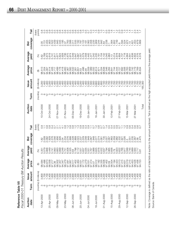| Reference Table VII<br>2000-01<br>Fiscal |          | Treasury Bill Auction            |                  | Resuts                                                                                                                                                                                                        |                                                                                                                                                                                              |                                                                                     |                   |          |                                      |                                                                                        |                         |                                 |                                       |
|------------------------------------------|----------|----------------------------------|------------------|---------------------------------------------------------------------------------------------------------------------------------------------------------------------------------------------------------------|----------------------------------------------------------------------------------------------------------------------------------------------------------------------------------------------|-------------------------------------------------------------------------------------|-------------------|----------|--------------------------------------|----------------------------------------------------------------------------------------|-------------------------|---------------------------------|---------------------------------------|
|                                          |          |                                  |                  |                                                                                                                                                                                                               |                                                                                                                                                                                              |                                                                                     |                   |          |                                      |                                                                                        |                         |                                 |                                       |
| Auction<br>date                          | Term     | amount<br>Issue                  | Average<br>price | Average<br>yield                                                                                                                                                                                              | coverage<br>Bid                                                                                                                                                                              | Tail                                                                                | Auction<br>date   | Term     | amount<br><b>Issue</b>               | Average<br>price                                                                       | Average<br>yield        | coverage<br>Bid                 | Tail                                  |
|                                          | (months) | (\$ millions)                    | €                | $\otimes$                                                                                                                                                                                                     |                                                                                                                                                                                              | (basis<br>points)                                                                   |                   | (months) | (\$ millions)                        | ⊕                                                                                      | ි                       |                                 | points)<br>(basis                     |
| 3-Apr-2000                               |          | 3,800<br>1,700<br>1,700          |                  | 35798<br>5798                                                                                                                                                                                                 | 0082<br>82<br>$\sim$ $\sim$                                                                                                                                                                  | တ<br>Ö                                                                              | 10-Oct-2000       |          | 3,200<br>,400                        | 98.513<br>97.204<br>94.467                                                             |                         |                                 |                                       |
| 25-Apr-2000                              |          | $3,0000$<br>$7,0000$<br>$7,0000$ |                  |                                                                                                                                                                                                               |                                                                                                                                                                                              |                                                                                     | 24-Oct-2000       |          | $-400$<br>3,200<br>1,400<br>1,400    |                                                                                        |                         |                                 |                                       |
| 09-May-2000                              |          | 1,500                            |                  |                                                                                                                                                                                                               | - 991- 1992- 1992- 1993- 1994- 1995- 1996<br>- 1996- 1996- 1997- 1998- 1999<br>- 1999- 1999- 1999- 1999- 1999- 1999- 1999- 1999- 1999- 1999- 1999- 1999- 1999- 1999- 1999- 1999- 1999- 1999- |                                                                                     | 07-Nov-2000       |          | 3,200<br>$-400$                      | 99999999<br>245455448<br>24555548<br>25558                                             |                         |                                 | 00000000000000000<br>0000000000000000 |
| 23-May-2000                              |          | $1,500$<br>$3,000$               |                  |                                                                                                                                                                                                               |                                                                                                                                                                                              |                                                                                     | 21-Nov-2000       |          | 1,400<br>3,200                       | 94.582<br>97.367                                                                       |                         |                                 |                                       |
| 06-Jun-2000                              |          |                                  |                  |                                                                                                                                                                                                               |                                                                                                                                                                                              |                                                                                     | 05-Dec-2000       |          | 1101108<br><i>446446</i><br>0000000  | 98.532<br>97.261                                                                       |                         |                                 |                                       |
| 20-Jun-2000                              |          |                                  |                  |                                                                                                                                                                                                               | 2.0237                                                                                                                                                                                       |                                                                                     | 9-Dec-2000        |          | $1,400$<br>$1,400$                   | 97.496<br>94.94<br>94.651<br>98.53                                                     |                         |                                 | $-0.07$                               |
| 04-Jul-2000                              |          |                                  |                  |                                                                                                                                                                                                               |                                                                                                                                                                                              |                                                                                     | 03-Jan-2001       |          | 3,500<br>1,500                       |                                                                                        |                         |                                 |                                       |
| 18-Jul-2000                              |          |                                  |                  | ιο αρτησοφταιος του τριστοριουν της συναρτοφησι<br>πρωτησοφητοσητησης της πρωτασμουσης του αρκοποιησης<br>πρωτησοφητοσης της πρωτησοφησιασης πρωταφησης<br>πρωτησοφητοσης του πρωτησοφησιασης πρωτασης πρωτασ | 88856874587768888<br>8888687768888<br>8888687768888                                                                                                                                          | OOOO0040+000++0000+0+0+000+00000++000000<br>OOOO0040+0+00++0000+0+000+00000++000000 | 16-Jan-2001       |          | $\frac{1,500}{3,800}$<br>0091<br>009 | 000 N 4 - 4 0<br>  5 000 0 0 0 0 0 0 0 0<br>  5 0 0 0 0 0 0 0 0<br>  6 0 0 0 0 0 0 0 0 |                         | 1.942                           |                                       |
| 01-Aug-2000                              |          |                                  |                  |                                                                                                                                                                                                               |                                                                                                                                                                                              |                                                                                     | $30 - Jan - 2001$ |          | 4,100<br>$7,700$<br>1,700            | 97.546<br>95.284                                                                       | 5.142<br>5.045<br>4.963 | 2.238<br>1.63<br>$\overline{c}$ |                                       |
| 5-Aug-2000                               |          |                                  |                  |                                                                                                                                                                                                               |                                                                                                                                                                                              |                                                                                     | 3-Feb-2001        |          | 4,100<br>1,700<br>1,700              | 98.641<br>97.744                                                                       | 5.014<br>4.978<br>5.13  | 1.564<br>1.852<br>1.749         |                                       |
| 29-Aug-2000                              |          |                                  |                  |                                                                                                                                                                                                               | 1.921                                                                                                                                                                                        |                                                                                     | 27-Feb-2001       |          | 4,100<br>00/1<br>00/11               | 97.692<br>95.506<br>95.444<br>98.727                                                   | 4.718<br>4.804<br>4.737 | 6 234<br>6 234                  |                                       |
| 2-Sep-2000                               |          |                                  |                  |                                                                                                                                                                                                               | 235                                                                                                                                                                                          |                                                                                     | 3-Mar-2001        |          | 4,100<br>00/11<br>00/11              | 98.763<br>97.909                                                                       | 4.638<br>4.664<br>4.641 | .972                            |                                       |
| 26-Sep-2000                              |          |                                  |                  |                                                                                                                                                                                                               | $367$<br>$38$<br>$475$<br>35576<br>356866<br>2568675<br>256875                                                                                                                               |                                                                                     | 27-Mar-2001       |          | 4,100<br>,700<br>00/11               | 05742<br>0877760<br>087760<br>0550                                                     | 4.604<br>4.578<br>4.578 | 727000                          |                                       |
|                                          |          |                                  |                  |                                                                                                                                                                                                               |                                                                                                                                                                                              |                                                                                     | Total             |          | 165,300                              |                                                                                        |                         |                                 |                                       |

Note: Coverage is defined as the ratio of total bids at auction to the amount auctioned. Tail is defined as the high accepted yield minus the average yield. Note: Coverage is defined as the ratio of total bids at auction to the amount auctioned. Tail is defined as the high accepted yield minus the average yield.

Source: Bank of Canada. Source: Bank of Canada.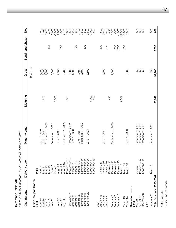| Fiscal 2000-01 Canadian-Dollar Marketable Bond Program<br>Reference Table VIII |                                                   |                              |              |                |                 |                                  |
|--------------------------------------------------------------------------------|---------------------------------------------------|------------------------------|--------------|----------------|-----------------|----------------------------------|
| Offering date                                                                  | Delivery date                                     | Maturity date                | Maturing     | Gross          | Bond repurchase | <b>b</b><br>Net                  |
| Fixed-coupon bonds                                                             |                                                   |                              |              | $$$ millions)  |                 |                                  |
| April 19<br>2000                                                               | April 24<br>2000                                  |                              |              | 1,900          |                 | 1,900                            |
| April 26                                                                       | May 1                                             | June 1, 2029<br>June 1, 2011 | 1,575        | 2,600          |                 | 1,025                            |
| May 10                                                                         | May 15                                            | September 1, 2005            |              | 2,800          |                 | 2,800                            |
| May 10                                                                         | May 15                                            |                              |              |                | 463             | $-463$                           |
| June 7                                                                         | June 15<br>July $4^*$                             | December 1, 2002             | 3,075        | 3,600          |                 | 3,600                            |
| June 26                                                                        | August 1                                          | June 1, 2011                 |              | 2,600          |                 | $-3,075$<br>2,600                |
| August 9<br>June 26                                                            | August 15<br>August                               | September 1, 2005            |              | 2,700          | 500             | $-500$<br>2,700                  |
|                                                                                | September                                         |                              | 8,800        |                |                 | $-8,800$                         |
| $\frac{3}{5}$<br>September                                                     | September 15                                      | December 1, 2002             |              | 3,500<br>1,900 |                 | 3,500                            |
| October 11<br>October 1 <sup>-</sup>                                           | October 16<br>October 16                          | June 1, 2029                 |              |                | 369             | 1,900<br>$-369$                  |
| October 25                                                                     | October 30                                        | June 1, 2011                 |              |                |                 |                                  |
| November 8                                                                     | November <sup>-</sup>                             | September 1, 2006            |              | 2,400<br>2,500 |                 | 2,400<br>2,500                   |
| November 8                                                                     | November <sup>-</sup>                             |                              |              |                | 500             | $-500$                           |
| November 22                                                                    | November 24                                       | June 1, 2003                 |              | 3,500          |                 | 3,500                            |
|                                                                                | December 15 <sup>*</sup><br>December <sub>1</sub> |                              | 7,000<br>500 |                |                 | $-7,000$<br>$-500$               |
| <b>2001</b>                                                                    |                                                   |                              |              |                |                 |                                  |
| January 16                                                                     | January 18                                        |                              |              |                | 500             | -500                             |
| January 24                                                                     | January 29                                        | June 1, 2011                 |              | 2,500          |                 | 2,500                            |
| January 24                                                                     | February 1*<br>January 29                         |                              | 425          |                | 500             | $-500$<br>$-425$                 |
| February 7                                                                     | $\overline{\mathcal{C}}$<br>February 1            | September 1, 2006            |              | 2,500          |                 | 2,500                            |
| February                                                                       | $\frac{2}{10}$<br>February 1                      |                              |              |                | 500             | $-500$                           |
| February 13                                                                    | February<br>March <sub>1</sub>                    |                              | 12,567       |                | 1,000           | $-1,000$                         |
| March 13                                                                       | March 15                                          |                              |              |                | 1,000           | $-12,567$<br>$-1,000$<br>$3,500$ |
| March 14                                                                       | March 16                                          | June 1, 2003                 |              | 3,500          |                 |                                  |
| Real return bonds<br>2000                                                      |                                                   |                              |              |                |                 |                                  |
| May 31                                                                         | June 5                                            | December 1, 2031             |              | 350            |                 | 350                              |
| August 30                                                                      | September 5                                       | 1,2031<br>December 1         |              | 350<br>350     |                 | 350<br>350                       |
| December 6                                                                     | December 11                                       | December 1, 2031             |              |                |                 |                                  |
| 2001                                                                           |                                                   |                              |              |                |                 |                                  |
| February 28                                                                    | March 5                                           | December 1, 2031             |              | 350            |                 | 350                              |
| Total fiscal year 2000-2001                                                    |                                                   |                              | 33,942       | 39,900         | 5,332           | 626                              |

\* Maturing date.<br>Source: Bank of Canada. Source: Bank of Canada.\* Maturing date.

**67**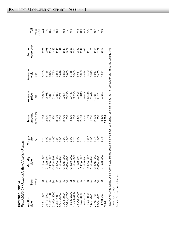|                | ،<br>٥<br>I                                                                                                             |  |
|----------------|-------------------------------------------------------------------------------------------------------------------------|--|
|                | こうこ<br>J                                                                                                                |  |
|                | ה<br>המי<br>ſ                                                                                                           |  |
|                | $2 - 2$                                                                                                                 |  |
| $\overline{ }$ | דר רכת<br>֧֦֦֦֦֦֧֧֧֧֧֦֧ׅ֧֧֛֧֧֧֛֧֛ׅ֧֧֛֛֪֦֪֧֛֪֪֪֪֪֪֪֛֚֚֝֝֝֝֝֝֬֝֓֝֓֝֬֝֓֝֬֝֓֝֬֝֓֝֬֝֓֝֬֜֝֓֝֬֜֓֝֬֝֓֜֝֓֝֬֝֓֜֝֓֜֓֝֬֝֜֝֟֝֬֝֜֝֝֝֝ |  |
| ś              | ç                                                                                                                       |  |

| Reference Table IX |                   | Fiscal 2000-01 Marketable Bond Auction Results |                |                 |                  |                                   |                                                                      |                   |
|--------------------|-------------------|------------------------------------------------|----------------|-----------------|------------------|-----------------------------------|----------------------------------------------------------------------|-------------------|
| Auction<br>date    | Term              | Maturity<br>date                               | Coupon<br>rate | amount<br>Issue | Average<br>price | Average<br>vield                  | coverage<br>Auction                                                  | Tail              |
|                    | (years)           |                                                | $\mathcal{S}$  | (\$ millions)   | ⊕                | $\mathcal{E}$                     |                                                                      | (basis<br>points) |
| 9-Apr-2000         |                   | 01-Jun-202                                     |                |                 | 99.923           | 5.755                             | 2.21                                                                 |                   |
| 26-Apr-2000        |                   | 01-Jun-201                                     |                |                 | 98.987           | 6.128                             | 2.68                                                                 |                   |
| 10-May-2000        |                   | 01-Sep-200                                     |                |                 | 98.33            | 6.374                             | 2.37                                                                 |                   |
| 31-May-2000        |                   | $01 - Dec - 203$                               |                |                 | 103.842          |                                   |                                                                      |                   |
| 7-Jun-2000         |                   | 01-Dec-2002                                    |                |                 | 99.857           |                                   |                                                                      |                   |
| 26-Jul-2000        |                   | 01-Jun-201                                     |                |                 | 100.79           | 00<br>000000<br>0000000<br>000000 |                                                                      |                   |
| 9-Aug-2000         | Ю                 | 01-Sep-200                                     |                |                 | 100.561          |                                   | 8 4 5 9 8 9 9 9 9 9 9 9 0 9 0 7 1<br>8 9 9 9 9 9 9 9 9 9 9 9 0 9 0 1 |                   |
| 30-Aug-2000        |                   | 01-Dec-2031                                    |                |                 | 106.293          |                                   |                                                                      |                   |
| 13-Sep-2000        | $\mathbf{\Omega}$ | 01-Dec-2002                                    |                |                 | 100.467          |                                   |                                                                      |                   |
| 11-Oct-2000        | 80                | 01-Jun-2029                                    |                |                 | 102.293          |                                   |                                                                      |                   |
| 25-Oct-2000        | $\overline{C}$    | 01-Jun-201                                     |                |                 | 102.506          |                                   |                                                                      |                   |
| 8-Nov-2000         | 5                 | 01-Sep-2006                                    |                |                 | 99.013           |                                   |                                                                      |                   |
| 22-Nov-2000        | $\sim$            | 01-Jun-2003                                    |                |                 | 99.844           |                                   |                                                                      |                   |
| 6-Dec-2000         |                   | $01 - Dec-203$                                 |                |                 | 110.415          |                                   |                                                                      |                   |
| 24-Jan-2001        | $\subseteq$       | 01-Jun-201                                     |                |                 | 103.694          |                                   |                                                                      |                   |
| 7-Feb-2001         |                   | 01-Sep-2006                                    |                | 2,500           | 102.394          | 5.247                             |                                                                      |                   |
| 28-Feb-2001        |                   | $01 - Dec - 2031$                              |                | 35 <sub>C</sub> | 11.28            | 3.405                             |                                                                      |                   |
| 14-Mar-2001        | 2                 | 01-Jun-2003                                    |                | 3,500           | 02.207           | .684                              |                                                                      |                   |
| Total              |                   |                                                |                | 39,900          |                  |                                   |                                                                      |                   |
|                    |                   |                                                |                |                 |                  |                                   |                                                                      |                   |

Note: Coverage is defined as the ratio of total bids at auction to the amount auctioned. Tail is defined as the high accepted yield minus the average yield. Note: Coverage is defined as the ratio of total bids at auction to the amount auctioned. Tail is defined as the high accepted yield minus the average yield. \* Real return bonds. \* Real return bonds.

Source: Department of Finance. Source: Department of Finance.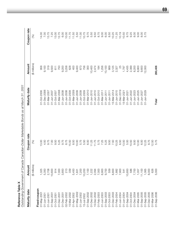**Reference Table X**<br>Outstanding Governn **Reference Table X**

| $\frac{1}{2}$<br>)       |
|--------------------------|
| $\frac{1}{2}$            |
|                          |
| í                        |
|                          |
|                          |
|                          |
|                          |
|                          |
|                          |
|                          |
|                          |
|                          |
|                          |
|                          |
| ١                        |
| $\overline{\phantom{a}}$ |
|                          |
| $-1$                     |
|                          |
|                          |
| :                        |
|                          |
|                          |
|                          |
|                          |
|                          |
|                          |
|                          |
|                          |
|                          |
|                          |
|                          |
|                          |
|                          |
| l<br>Ì                   |
|                          |
|                          |
|                          |
|                          |
|                          |
|                          |
|                          |
|                          |
|                          |
|                          |
|                          |
|                          |
|                          |
|                          |
| $\ddot{\phantom{0}}$     |
|                          |
|                          |
|                          |
|                          |
| Ì                        |
|                          |
|                          |
|                          |
| ١<br>l                   |
|                          |
|                          |
|                          |
| ĺ                        |
|                          |
|                          |
| j                        |
|                          |
|                          |
|                          |
|                          |
|                          |
|                          |
|                          |
|                          |
| 5)<br>l                  |
|                          |
|                          |
|                          |
|                          |
|                          |
| í                        |
|                          |
|                          |
|                          |
|                          |
|                          |
| $\overline{\phantom{a}}$ |
|                          |
| $\frac{1}{2}$            |
| ١                        |
|                          |
|                          |
|                          |
|                          |
|                          |
|                          |
|                          |
|                          |
|                          |
|                          |
|                          |
|                          |
|                          |
|                          |
|                          |
|                          |
| I                        |
|                          |
|                          |
|                          |
| )                        |
| i                        |
|                          |
|                          |
|                          |
|                          |
|                          |
|                          |
|                          |
|                          |
|                          |
|                          |
|                          |
| )<br>2010<br>20<br>Ċ     |

| Maturity date | Amount                     | Coupon rate   | Maturity date | Amount           | Coupon rate             |
|---------------|----------------------------|---------------|---------------|------------------|-------------------------|
|               | (\$millions)               | $\mathcal{S}$ |               | (\$ millions)    | $\mathcal{\mathcal{E}}$ |
| Fixed-coupon  |                            |               |               |                  |                         |
| 01-May-2001   | 1,325                      | 3.00          | 01-Oct-2006   | 958              | 14.00                   |
| 01-Jun-2001   | 5,350                      | 4.50          | 01-Dec-2006   | 9,100            | 7.00                    |
| 007-Jun-200   | 2,708                      | 9.75          | 01-Mar-2007   | 319              | 13.75                   |
| 002-dep-200   | 10,600                     | 7.00          | 01-Jun-2007   | 9,500            | 7.25                    |
| 005-200-rc    | 914                        | 9.50          | 01-Oct-2007   | $\overline{6}$ 1 | 13.00                   |
| 01-Dec-200    | 7,000                      | 5.25          | 01-Mar-2008   | 750              | 12.75                   |
| 01-Dec-200    | 3,850                      | 9.75          | 01-Jun-2008   | 9,200            | 6.00                    |
| 02-Feb-2002   | 213                        | 8.75          | 01-Jun-2008   | 3,258            | 10.00                   |
| 15-Mar-2002   | 339                        | 15.50         | 01-Oct-2008   | 628              | 11.75                   |
| 01-Apr-2002   | 5,450                      | 8.50          | 01-Mar-2009   | 400              | 11.50                   |
| 01-May-2002   | 1,831                      | 10.00         | 01-Jun-2009   | 9,400            | 5.50                    |
| 01-Jun-2002   | 7,200                      | 5.75          | 01-Jun-2009   | 673              | 11.00                   |
| 15-Jul-2002   |                            | 5.50          | 01-Oct-2009   | 756              | 10.75                   |
| 01-Sep-2002   |                            | 6.00          | 01-Mar-2010   | 300              | 9.75                    |
| 01-Dec-2002   | $10,200$<br>7,100<br>1,222 | 11.25         | 01-Jun-2010   | 10,400           | 5.50                    |
| 15-Dec-2002   | 2,094                      | 11.75         | 01-Jun-2010   | 2,474            | 9.50                    |
| 01-Feb-2003   |                            | 5.75          | 01-Oct-2010   | 184              | 8.75                    |
| 01-Jun-2003   |                            | 7.25<br>5.25  | 01-Mar-2011   | 1,256            | 9.00                    |
| 01-Sep-2003   | 7,000<br>6,900<br>9,700    |               | 01-Jun-2011   | 10,100           | 6.00                    |
| 01-Oct-2003   | 559                        | 9.50          | 01-Jun-2011   | 669              | 8.50                    |
| 01-Dec-2003   | 8,800                      | 7.50          | 15-Mar-2014   | 3,125            | 10.25                   |
| 01-Feb-2004   | 1,882                      | 10.25         | 01-Jun-2015   | 2,327            | 11.25                   |
| 01-Jun-2004   | 7,900                      | 6.50          | 31-Dec-2019   | 25               | 10.19                   |
| 01-Jun-2004   | 541                        | 13.50         | 15-Mar-2021   | 1,797            | 10.50                   |
| 01-Sep-2004   | 10,850                     | 5.00          | 01-Jun-2021   | 4,435            | 9.75                    |
| 01-Oct-2004   | 586                        | 10.50         | 01-Jun-2022   | 2,399            | 9.25                    |
| 01-Dec-2004   | 7,700                      | 9.00          | 01-Jun-2023   | 8,200            | 8.00                    |
| 01-Mar-2005   | 1,057                      | 12.00         | 01-Jun-2025   | 8,900            | 0.00                    |
| 01-Sep-2005   | 11,100                     | 6.00          | 01-Jun-2027   | 9,600            | 8.00                    |
| 01-Sep-2005   | 1,065                      | 12.25         | 01-Jun-2029   | 12,000           | 5.75                    |
| 01-Dec-2005   | 8,000                      | 8.75          |               |                  |                         |
| 01-Mar-2006   | 626                        | 12.50         |               |                  |                         |
| 01-Sep-2006   | 5,000                      | 5.75          | Total         | 280,406          |                         |

**69**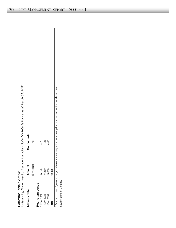| J<br>rnnt'n |  |
|-------------|--|
|             |  |
|             |  |
|             |  |
|             |  |
|             |  |
| 2           |  |
| 돌           |  |
|             |  |
| ٦           |  |
|             |  |
| ⊱           |  |
| Š           |  |
|             |  |
| į           |  |
| 1<br>í      |  |
|             |  |

| Reference Table X $\langle \text{cont'} \text{d} \rangle$ |               | Outstanding Government of Canada Canadian-Dollar Marketable Bonds as at March 31, 2001                         |
|-----------------------------------------------------------|---------------|----------------------------------------------------------------------------------------------------------------|
| Maturity date                                             | Amount        | Coupon rate                                                                                                    |
|                                                           | (\$ millions) | (%)                                                                                                            |
| Real return bonds                                         |               |                                                                                                                |
| $-Dec-2021$                                               | 5,175         | 4.25                                                                                                           |
| $-Dec-2026$                                               | 5,250         | 4.25                                                                                                           |
| 1-Dec-2031                                                | 3,050         | 4.00                                                                                                           |
| Total <sup>1</sup>                                        | 13,475        |                                                                                                                |
|                                                           |               | Real return bond figures show gross issue amount only - the consumer price index adjustment is not shown here. |
| Source: Bank of Canada.                                   |               |                                                                                                                |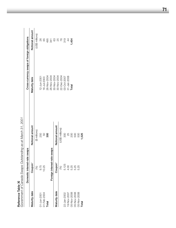|               | Domestic interest-rate s | swaps           |               | Cross-currency swaps of foreign obligations |
|---------------|--------------------------|-----------------|---------------|---------------------------------------------|
| Maturity date | Coupon <sup>1</sup>      | Notional amount | Maturity date | Notional amount                             |
|               | (%)                      | (\$ millions)   |               | (US\$ millions)                             |
| 1-Jun-2001    | 9.75                     | 250             | 12-Jun-2001   | 26                                          |
| 01-Feb-2004   | 10.25                    | 50              | 16-Jul-2003   | 89                                          |
| Total         |                          | 800             | 26-Nov-2004   | 495                                         |
|               | Foreign interest-rate    | swaps           | 26-Nov-2004   | 341                                         |
|               |                          |                 | 30-Nov-2004   |                                             |
| Maturity date | Coupon <sup>1</sup>      | Notional amount | 30-Nov-2004   |                                             |
|               | (%)                      | (US\$ millions) | 22-Dec-2004   | 8<br>8<br>8<br>7<br>8                       |
| 22-Jan-2002   | 5.125                    | 300             | 03-Oct-2007   | 319                                         |
| 19-Nov-2007   | 4.00                     | 25              | 31-Jan-2008   | $\ddot{4}$                                  |
| 05-Nov-2008   | 5.25                     | 200             | Total         | 454                                         |
| 05-Nov-2008   | 5.25                     | 500             |               |                                             |
| 05-Nov-2008   | 5.25                     | 500             |               |                                             |
| Total         |                          | ,525            |               |                                             |

da Swaps Outstanding as at March 31, 2001 *Government of Canada Swaps Outstanding as at March 31, 2001* Reference Table XI<br>Covernment of Caps **Reference Table XI**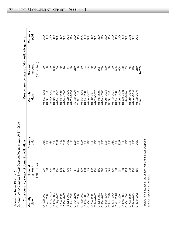| Reference Table XI $\langle \text{cont'}d\rangle$ | Covernment of Cenede Swene Outoten |
|---------------------------------------------------|------------------------------------|

**Reference Table XI** (cont'd)<br>Government of Canada Swaps Outstanding as at March 31, 2001 *Government of Canada Swaps Outstanding as at March 31, 2001*

|                  | Cross-currency swaps of domestic obligations                               |                                                   |                  | Cross-currency swaps of domestic obligations |                                                   |
|------------------|----------------------------------------------------------------------------|---------------------------------------------------|------------------|----------------------------------------------|---------------------------------------------------|
| Maturity<br>date | Notional<br>amount                                                         | Currency<br>paid                                  | Maturity<br>date | Notional<br>amount                           | Currency<br>paid                                  |
|                  | (US\$ millions)                                                            |                                                   |                  | (US\$ millions)                              |                                                   |
| 04-Sep-2001      | 1,000                                                                      | go                                                | 01-Sep-2005      | 100                                          | go                                                |
| 01-Apr-2002      | 50                                                                         | 9                                                 | 01-Sep-2005      | 150                                          | $\frac{1}{2}$                                     |
| 01-May-2002      | 100                                                                        | 9s                                                | 23-Nov-2005      | 150                                          | 99                                                |
| 01-Sep-2002      | 1,000                                                                      | GSU                                               | 01-Dec-2005      | 650                                          | asu                                               |
| 01-Sep-2002      | 250                                                                        | EUR                                               | 01-Dec-2005      | 200                                          | $\frac{1}{2}$                                     |
| 28-Oct-2002      | 100                                                                        | asu                                               | 01-Mar-2006      | SO                                           | asu                                               |
| 15-Dec-2002      | 102                                                                        | EUR                                               | 01-Mar-2006      | 96                                           | <b>SSSS</b>                                       |
| 15-Dec-2002      | 600                                                                        | asp                                               | 01-Oct-2006      | 54                                           |                                                   |
| 01-Feb-2003      | 52                                                                         |                                                   | 01-Oct-2006      | $\overline{0}$                               |                                                   |
| 01-Jun-2003      | $\approx$                                                                  | $\begin{array}{c} \Xi \Xi \\ \Xi \Xi \end{array}$ | 30-Oct-2006      | 250                                          |                                                   |
| 01-Jun-2003      | 125                                                                        | <b>SSE</b>                                        | 23-Nov-2006      | 150                                          | asu                                               |
| 01-Sep-2003      | 105                                                                        |                                                   | 01-Dec-2006      | SO                                           |                                                   |
| 01-Sep-2003      | 150                                                                        | asp                                               | 01-Mar-2007      | $^{24}$                                      | $\begin{array}{c} \Xi \Xi \\ \Xi \Xi \end{array}$ |
| 01-Oct-2003      | 65                                                                         | asp                                               | 01-Jun-2007      | 248                                          | EUSD<br>USD                                       |
| 01-Oct-2003      | 182                                                                        | EUR                                               | 01-Jun-2007      | 750                                          |                                                   |
| 30-Nov-2003      | $\overline{100}$                                                           | asp                                               | 01-Oct-2007      | 166                                          | EUR<br>USD                                        |
| 01-Dec-2003      | 156                                                                        | EUR                                               | 01-Mar-2008      | 225                                          |                                                   |
| 01-Dec-2003      | 520                                                                        | asp                                               | 01-Mar-2008      | 250                                          | asp                                               |
| 01-Feb-2004      | 208                                                                        | EUR                                               | 01-Jun-2008      | 800                                          | asu                                               |
| 01-Feb-2004      | 525                                                                        | GSD                                               | 30-Sep-2008      | SG                                           | asu                                               |
| 30-Mar-2004      | 100                                                                        | asu                                               | 01-Oct-2008      | 190                                          | asu                                               |
| 01-Jun-2004      | 350                                                                        | asp                                               | 01-Mar-2009      | 535                                          | asu                                               |
| 01-Jun-2004      | 564                                                                        | EUR                                               | 01-Jun-2009      | 505                                          | asu                                               |
| 01-Sep-2004      | 50                                                                         | EUR                                               | 01-Oct-2009      | 440                                          | EUR                                               |
| 01-Oct-2004      | 125                                                                        | go                                                | 1-Mar-2010       | 185                                          | 문<br>시<br>시                                       |
| 01-Oct-2004      | 212                                                                        | EUR                                               | 01-Jun-2010      | 76                                           |                                                   |
| 23-Nov-2004      | 100                                                                        | <b>G</b>                                          | $01 - Jun-2010$  | 540                                          | $\frac{1}{2}$                                     |
| 01-Mar-2005      | 565                                                                        | <b>GSL</b>                                        | 01-Oct-2010      | 260                                          | 昌                                                 |
|                  |                                                                            |                                                   | Total            | 14,789                                       |                                                   |
|                  | <sup>1</sup> Refers to the coupon of the underlying bond that was swapped. |                                                   |                  |                                              |                                                   |

ת Source: Department of Finance. Source: Department of Finance. $\frac{1}{2}$  $\frac{1}{2}$ Refers to the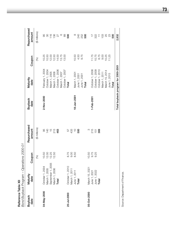| Reference Table XII | Bond Buyback Program - Operations 2000-01                      |              |                                      |                        |                                     |                               |                                                                                                                               |
|---------------------|----------------------------------------------------------------|--------------|--------------------------------------|------------------------|-------------------------------------|-------------------------------|-------------------------------------------------------------------------------------------------------------------------------|
| Buyback<br>date     | Maturity<br>date                                               | Coupon       | Repurchased<br>amount                | <b>Buyback</b><br>date | Maturity<br>date                    | Coupon                        | Repurchased<br>amount                                                                                                         |
|                     |                                                                | (%)          | (\$ millions)                        |                        |                                     | (%)                           | (\$ millions)                                                                                                                 |
| 04-May-2000         | October 1, 2004                                                | 0.50         | 95                                   | 2-Nov-2000             | February 1, 2004                    | 10.25                         | 95                                                                                                                            |
|                     | March 1, 2005                                                  | 2.00         |                                      |                        | October 1, 2004                     | 10.50                         | $\infty$                                                                                                                      |
|                     | September 1, 2005                                              | 2.25         | $40$<br>$75$<br>$75$<br>$46$<br>$46$ |                        | March 1, 2005                       | 12.00                         |                                                                                                                               |
|                     | March 1, 2006                                                  | 2.50         |                                      |                        | March 1, 2006                       |                               | $116$<br>$130$<br>$27$                                                                                                        |
|                     | Total                                                          |              |                                      |                        | October 1, 2006                     | $12.50$<br>$14.00$<br>$13.75$ |                                                                                                                               |
|                     |                                                                |              |                                      |                        | March 1, 2007                       |                               | $^{\circ}$ 89                                                                                                                 |
|                     |                                                                |              |                                      |                        | October 1, 2007                     | 13.00                         |                                                                                                                               |
| 20-Jul-2000         | October 1, 2010                                                |              |                                      |                        | Total                               |                               | 500                                                                                                                           |
|                     | March 1, 2011                                                  | 8.75<br>9.00 |                                      |                        |                                     |                               |                                                                                                                               |
|                     |                                                                | 8.50         |                                      | 18-Jan-2001            | March 1, 2001                       | 10.50                         | $\infty$                                                                                                                      |
|                     | June 1, 2011<br>Total                                          |              |                                      |                        | June 1, 2001                        | 4.50                          | <b>240</b>                                                                                                                    |
|                     |                                                                |              |                                      |                        | June 1, 2001                        | 9.75                          | 252<br>500                                                                                                                    |
|                     |                                                                |              |                                      |                        | Total                               |                               |                                                                                                                               |
| 05-Oct-2000         |                                                                |              | က                                    |                        |                                     |                               |                                                                                                                               |
|                     | March 15, 2021<br>June 1, 2021<br>June 1, 2022<br><b>Total</b> | 0.50<br>9.75 | 215                                  | 1-Feb-2001             | October 1, 2008                     | 11.75                         |                                                                                                                               |
|                     |                                                                | 9.25         | 151                                  |                        | October 1, 2009                     |                               |                                                                                                                               |
|                     |                                                                |              | 369                                  |                        | October 1, 2010                     | $10.75$<br>8.75               |                                                                                                                               |
|                     |                                                                |              |                                      |                        | March 1, 2011                       | 9.00                          | $\frac{1}{2}$ $\frac{1}{2}$ $\frac{1}{2}$ $\frac{1}{2}$ $\frac{1}{2}$ $\frac{1}{2}$ $\frac{1}{2}$ $\frac{1}{2}$ $\frac{1}{2}$ |
|                     |                                                                |              |                                      |                        | March 15, 2014                      | 10.25                         |                                                                                                                               |
|                     |                                                                |              |                                      |                        | June 1, 2015                        | 11.25                         |                                                                                                                               |
|                     |                                                                |              |                                      |                        | Total                               |                               | 500                                                                                                                           |
|                     |                                                                |              |                                      |                        | Total buyback program for 2000-2001 |                               | 2,832                                                                                                                         |

Source: Department of Finance. Source: Department of Finance.

**73**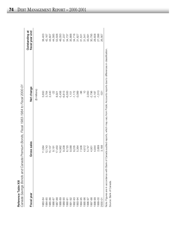| t |
|---|
|   |
|   |
|   |
|   |
|   |
| L |
| ٢ |
| ı |
|   |
|   |
|   |
|   |

| Fiscal year | Gross sales | Net change           | Outstanding at<br>fiscal year end |
|-------------|-------------|----------------------|-----------------------------------|
|             |             | (\$ millions)        |                                   |
| 1983-84     | 11,584      | 5,650                | 38,403                            |
| 1984-85     | 12,743      | 3,764                | 42,167                            |
| 1985-86     | 15,107      | 2,440                | 44,607                            |
| 1986-87     | 9,191       | $-22$                | 44,585                            |
| 1987-88     | 17,450      | 8,921                | 53,506                            |
| 1988-89     | 14,962      | $-5,456$             | 48,050                            |
| 1989-90     | 9,338       | $-6,813$             | 41,237                            |
| 1990-91     | 6,720       | $-6,500$             | 34,737                            |
| 1991-92     | 9,588       | 1,151                | 35,888                            |
| 1992-93     | 9,235       | $-1,172$             | 34,716                            |
| 1993-94     | 5,364       | $-3,089$             | 31,627                            |
| 1994-95     | 7,506       | -96                  | 31,531                            |
| 1995-96     | 4,612       | $\frac{1}{\sqrt{2}}$ | 31,541                            |
| 1996-97     | 5,747       | 2,050                | 33,591                            |
| 1997-98     | 4,951       | $-2,796$             | 30,795                            |
| 1998-99     | 4,844       | $-2,187$             | 28,608                            |
| 1999-00     | 2,669       | $-1,510$             | 27,098                            |
| 2000-01     | 3,188       | $-531$               | 26,567                            |

Note: Figures are in accordance with Bank of Canada audited reports, which may vary from Public Accounts reports due to differences in classification. NOIE: Figures

Source: Bank of Canada. Source: Bank of Canada.